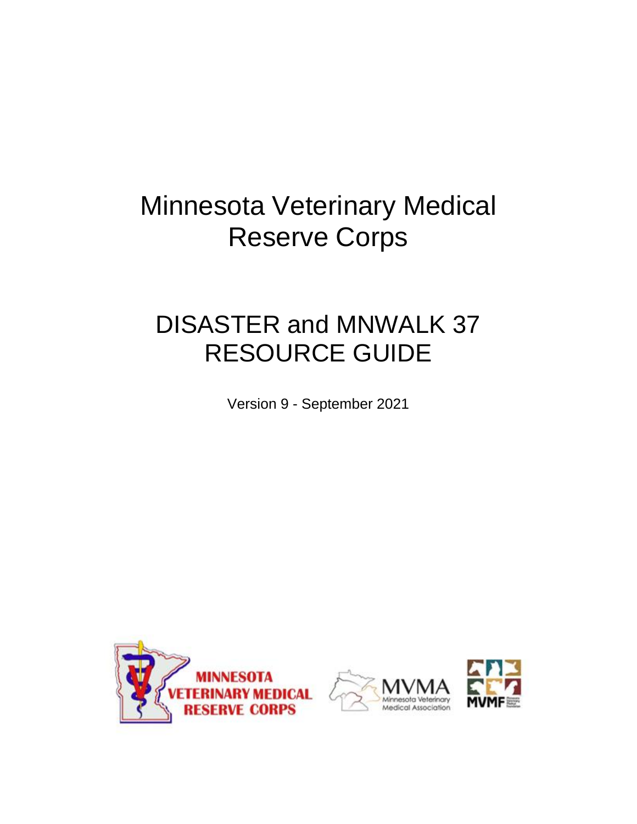# Minnesota Veterinary Medical Reserve Corps

# DISASTER and MNWALK 37 RESOURCE GUIDE

Version 9 - September 2021





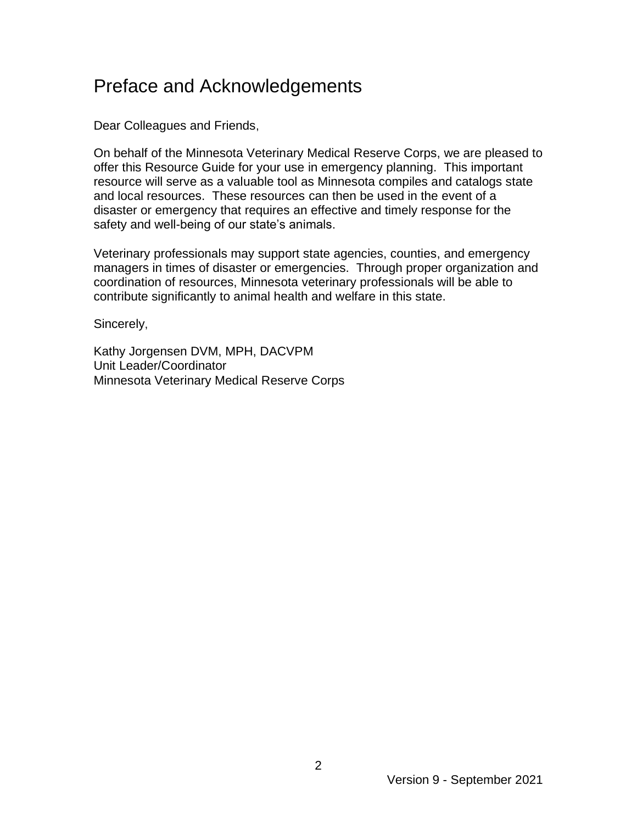### Preface and Acknowledgements

Dear Colleagues and Friends,

On behalf of the Minnesota Veterinary Medical Reserve Corps, we are pleased to offer this Resource Guide for your use in emergency planning. This important resource will serve as a valuable tool as Minnesota compiles and catalogs state and local resources. These resources can then be used in the event of a disaster or emergency that requires an effective and timely response for the safety and well-being of our state's animals.

Veterinary professionals may support state agencies, counties, and emergency managers in times of disaster or emergencies. Through proper organization and coordination of resources, Minnesota veterinary professionals will be able to contribute significantly to animal health and welfare in this state.

Sincerely,

Kathy Jorgensen DVM, MPH, DACVPM Unit Leader/Coordinator Minnesota Veterinary Medical Reserve Corps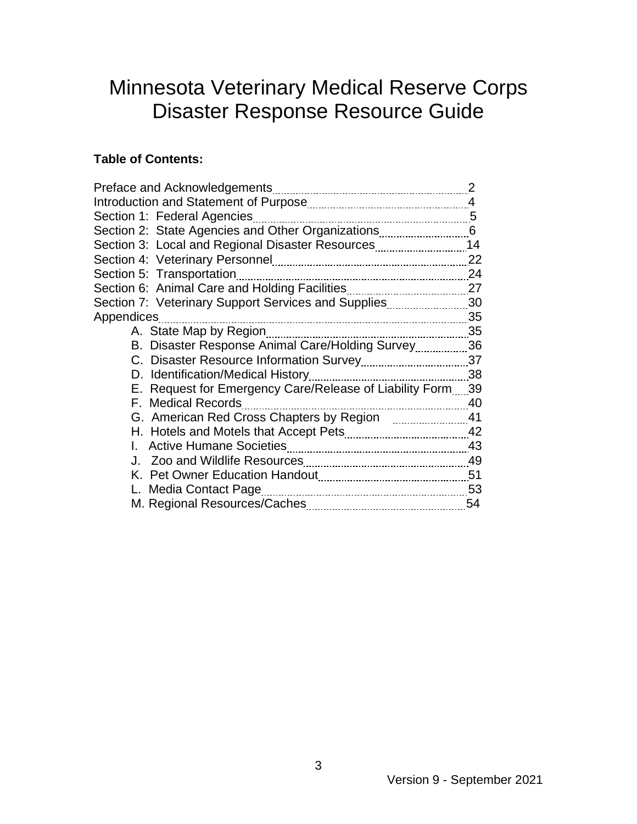## Minnesota Veterinary Medical Reserve Corps Disaster Response Resource Guide

#### **Table of Contents:**

|                                                            | 2    |
|------------------------------------------------------------|------|
|                                                            | 4    |
| Section 1: Federal Agencies                                | 5    |
|                                                            |      |
| Section 3: Local and Regional Disaster Resources           | 14   |
|                                                            | 22   |
| Section 5: Transportation                                  | 24   |
|                                                            |      |
| Section 7: Veterinary Support Services and Supplies        | - 30 |
| Appendices                                                 | 35   |
| A. State Map by Region<br>--------------------------       | 35   |
| B. Disaster Response Animal Care/Holding Survey36          |      |
|                                                            |      |
| D. Identification/Medical History                          | 38   |
| E. Request for Emergency Care/Release of Liability Form 39 |      |
| F. Medical Records                                         | 40   |
|                                                            | -41  |
|                                                            | - 42 |
| <b>Active Humane Societies</b>                             | 43   |
|                                                            | 49   |
|                                                            |      |
|                                                            | - 53 |
|                                                            | 54   |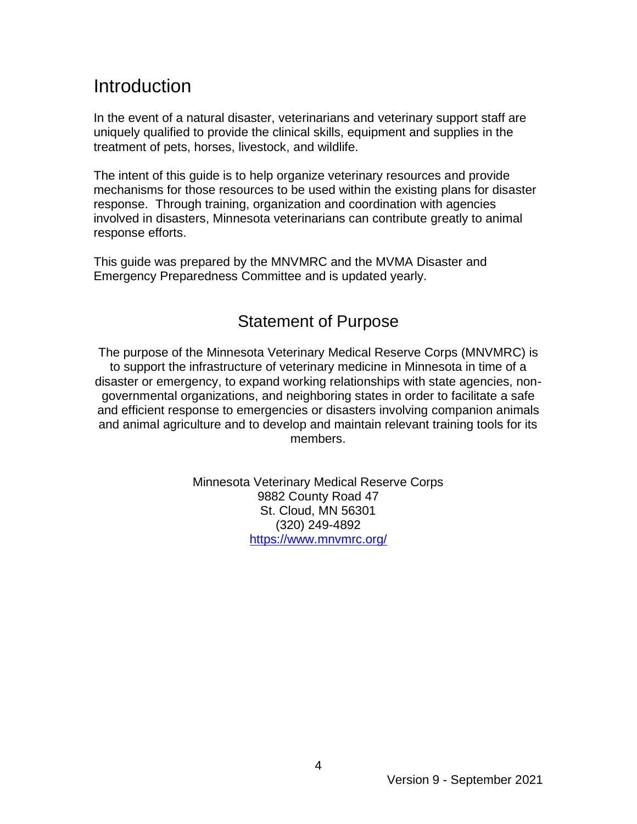### **Introduction**

In the event of a natural disaster, veterinarians and veterinary support staff are uniquely qualified to provide the clinical skills, equipment and supplies in the treatment of pets, horses, livestock, and wildlife.

The intent of this guide is to help organize veterinary resources and provide mechanisms for those resources to be used within the existing plans for disaster response. Through training, organization and coordination with agencies involved in disasters, Minnesota veterinarians can contribute greatly to animal response efforts.

This guide was prepared by the MNVMRC and the MVMA Disaster and Emergency Preparedness Committee and is updated yearly.

### Statement of Purpose

The purpose of the Minnesota Veterinary Medical Reserve Corps (MNVMRC) is to support the infrastructure of veterinary medicine in Minnesota in time of a disaster or emergency, to expand working relationships with state agencies, nongovernmental organizations, and neighboring states in order to facilitate a safe and efficient response to emergencies or disasters involving companion animals and animal agriculture and to develop and maintain relevant training tools for its members.

> Minnesota Veterinary Medical Reserve Corps 9882 County Road 47 St. Cloud, MN 56301 (320) 249-4892 <https://www.mnvmrc.org/>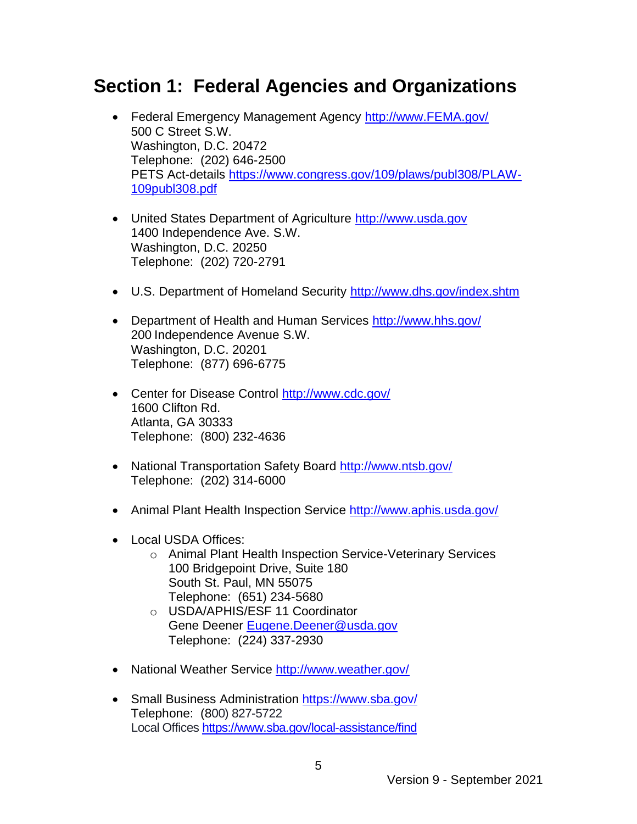### **Section 1: Federal Agencies and Organizations**

- Federal Emergency Management Agency [http://www.FEMA.gov/](http://www.fema.gov/)  500 C Street S.W. Washington, D.C. 20472 Telephone: (202) 646-2500 PETS Act-details [https://www.congress.gov/109/plaws/publ308/PLAW-](https://www.congress.gov/109/plaws/publ308/PLAW-109publ308.pdf)[109publ308.pdf](https://www.congress.gov/109/plaws/publ308/PLAW-109publ308.pdf)
- United States Department of Agriculture http://www.usda.gov 1400 Independence Ave. S.W. Washington, D.C. 20250 Telephone: (202) 720-2791
- U.S. Department of Homeland Security http://www.dhs.gov/index.shtm
- Department of Health and Human Services<http://www.hhs.gov/> 200 Independence Avenue S.W. Washington, D.C. 20201 Telephone: (877) 696-6775
- Center for Disease Control http://www.cdc.gov/ 1600 Clifton Rd. Atlanta, GA 30333 Telephone: (800) 232-4636
- National Transportation Safety Board http://www.ntsb.gov/ Telephone: (202) 314-6000
- Animal Plant Health Inspection Service http://www.aphis.usda.gov/
- Local USDA Offices:
	- o Animal Plant Health Inspection Service-Veterinary Services 100 Bridgepoint Drive, Suite 180 South St. Paul, MN 55075 Telephone: (651) 234-5680
	- o USDA/APHIS/ESF 11 Coordinator Gene Deener [Eugene.Deener@usda.gov](mailto:Eugene.Deener@usda.gov) Telephone: (224) 337-2930
- National Weather Service<http://www.weather.gov/>
- Small Business Administration<https://www.sba.gov/> Telephone: (800) 827-5722 Local Offices <https://www.sba.gov/local-assistance/find>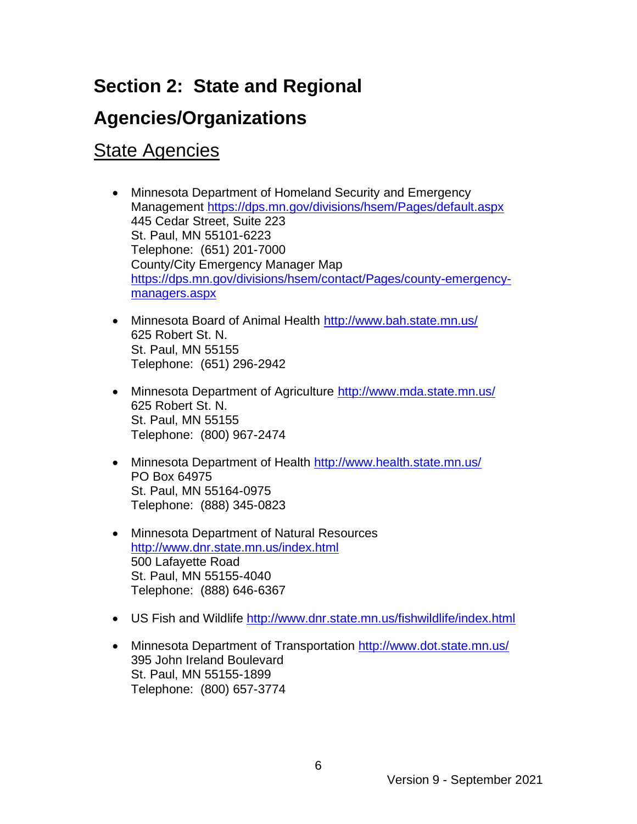## **Section 2: State and Regional**

### **Agencies/Organizations**

### **State Agencies**

- Minnesota Department of Homeland Security and Emergency Management <https://dps.mn.gov/divisions/hsem/Pages/default.aspx> 445 Cedar Street, Suite 223 St. Paul, MN 55101-6223 Telephone: (651) 201-7000 County/City Emergency Manager Map [https://dps.mn.gov/divisions/hsem/contact/Pages/county-emergency](https://dps.mn.gov/divisions/hsem/contact/Pages/county-emergency-managers.aspx)[managers.aspx](https://dps.mn.gov/divisions/hsem/contact/Pages/county-emergency-managers.aspx)
- Minnesota Board of Animal Health <http://www.bah.state.mn.us/> 625 Robert St. N. St. Paul, MN 55155 Telephone: (651) 296-2942
- Minnesota Department of Agriculture <http://www.mda.state.mn.us/> 625 Robert St. N. St. Paul, MN 55155 Telephone: (800) 967-2474
- Minnesota Department of Health http://www.health.state.mn.us/ PO Box 64975 St. Paul, MN 55164-0975 Telephone: (888) 345-0823
- Minnesota Department of Natural Resources <http://www.dnr.state.mn.us/index.html> 500 Lafayette Road St. Paul, MN 55155-4040 Telephone: (888) 646-6367
- US Fish and Wildlife<http://www.dnr.state.mn.us/fishwildlife/index.html>
- Minnesota Department of Transportation http://www.dot.state.mn.us/ 395 John Ireland Boulevard St. Paul, MN 55155-1899 Telephone: (800) 657-3774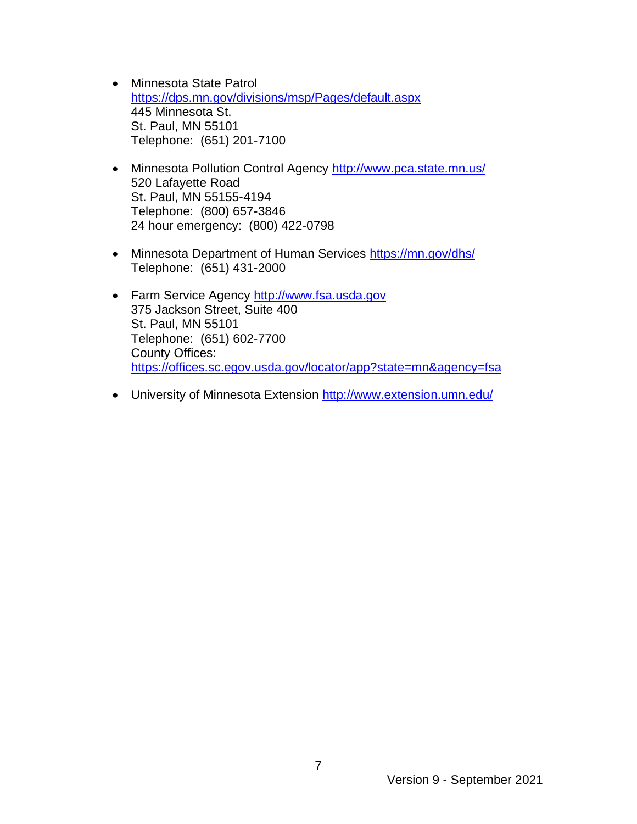- Minnesota State Patrol <https://dps.mn.gov/divisions/msp/Pages/default.aspx> 445 Minnesota St. St. Paul, MN 55101 Telephone: (651) 201-7100
- Minnesota Pollution Control Agency http://www.pca.state.mn.us/ 520 Lafayette Road St. Paul, MN 55155-4194 Telephone: (800) 657-3846 24 hour emergency: (800) 422-0798
- Minnesota Department of Human Services<https://mn.gov/dhs/> Telephone: (651) 431-2000
- Farm Service Agency [http://www.fsa.usda.gov](http://www.fsa.usda.gov/) 375 Jackson Street, Suite 400 St. Paul, MN 55101 Telephone: (651) 602-7700 County Offices: <https://offices.sc.egov.usda.gov/locator/app?state=mn&agency=fsa>
- University of Minnesota Extension<http://www.extension.umn.edu/>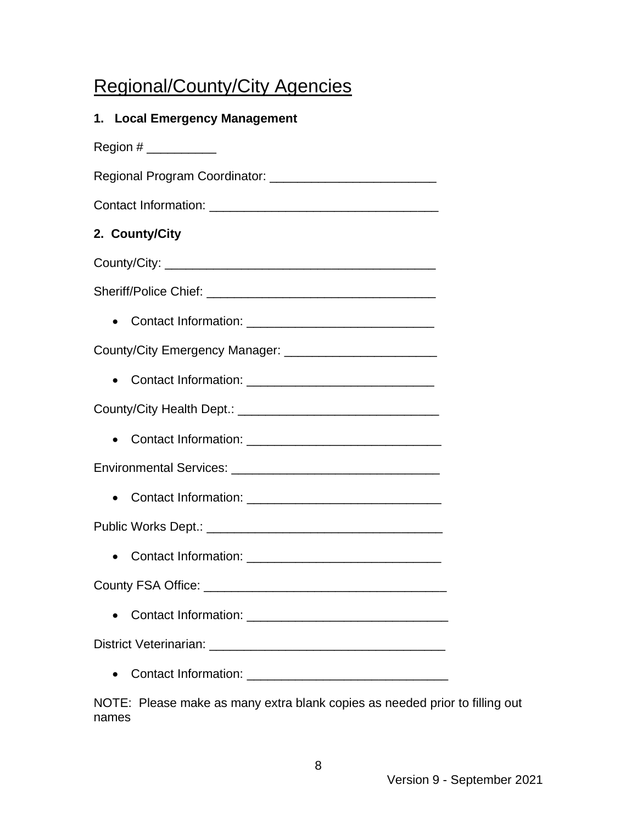## Regional/County/City Agencies

| 1. Local Emergency Management                                  |
|----------------------------------------------------------------|
|                                                                |
| Regional Program Coordinator: ________________________________ |
|                                                                |
| 2. County/City                                                 |
|                                                                |
|                                                                |
|                                                                |
|                                                                |
|                                                                |
|                                                                |
|                                                                |
|                                                                |
|                                                                |
|                                                                |
|                                                                |
|                                                                |
|                                                                |
|                                                                |
|                                                                |

NOTE: Please make as many extra blank copies as needed prior to filling out names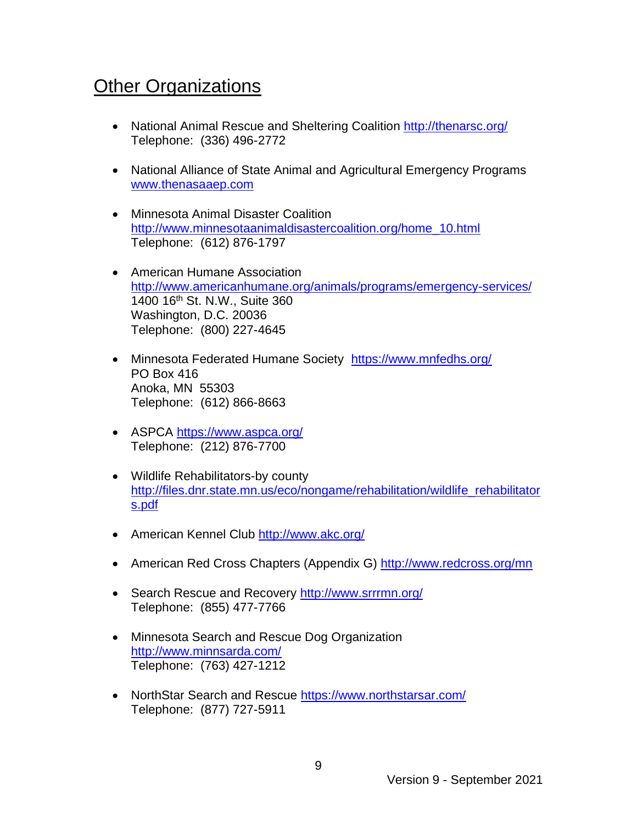## **Other Organizations**

- National Animal Rescue and Sheltering Coalition <http://thenarsc.org/> Telephone: (336) 496-2772
- National Alliance of State Animal and Agricultural Emergency Programs [www.thenasaaep.com](http://r20.rs6.net/tn.jsp?f=001xEGzfaQyGho6Uj_-1jU8H88a_INpmSVFnwEZnp_WhiWisJBPEFlygYYgtva_kIatI3MVEXrpnz20TOmAoDsmKEjHcJBHkJmm47EHHMPb-9K5aHUQnNxsjkg155aTKS5qwPkMxAoQly4-KMRIrjSEyA==&c=XfMZ82sNZmWJkOGRs_yWmCq3TrhLTfwyo5AKegEs0CzoA7uykkCd6A==&ch=J2JIZZEEmup9aOCN6ml3wTV1JQrXEvVjUqVG8tx6-31mVKcQyd42Jw==)
- Minnesota Animal Disaster Coalition [http://www.minnesotaanimaldisastercoalition.org/home\\_10.html](http://www.minnesotaanimaldisastercoalition.org/home_10.html) Telephone: (612) 876-1797
- American Humane Association <http://www.americanhumane.org/animals/programs/emergency-services/> 1400 16th St. N.W., Suite 360 Washington, D.C. 20036 Telephone: (800) 227-4645
- Minnesota Federated Humane Society https://www.mnfedhs.org/ PO Box 416 Anoka, MN 55303 Telephone: (612) 866-8663
- ASPCA <https://www.aspca.org/> Telephone: (212) 876-7700
- Wildlife Rehabilitators-by county [http://files.dnr.state.mn.us/eco/nongame/rehabilitation/wildlife\\_rehabilitator](http://files.dnr.state.mn.us/eco/nongame/rehabilitation/wildlife_rehabilitators.pdf) [s.pdf](http://files.dnr.state.mn.us/eco/nongame/rehabilitation/wildlife_rehabilitators.pdf)
- American Kennel Club<http://www.akc.org/>
- American Red Cross Chapters (Appendix G) <http://www.redcross.org/mn>
- Search Rescue and Recovery http://www.srrrmn.org/ Telephone: (855) 477-7766
- Minnesota Search and Rescue Dog Organization <http://www.minnsarda.com/> Telephone: (763) 427-1212
- NorthStar Search and Rescue<https://www.northstarsar.com/> Telephone: (877) 727-5911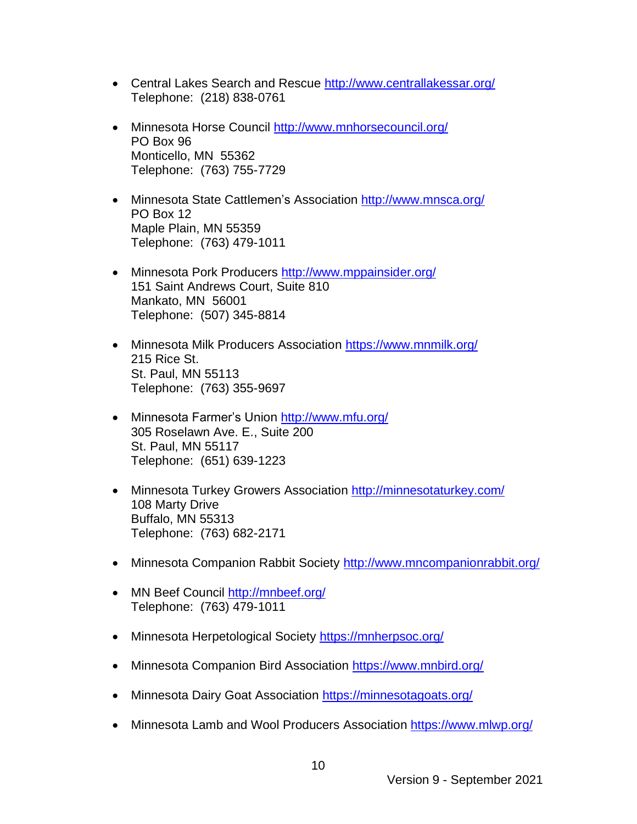- Central Lakes Search and Rescue<http://www.centrallakessar.org/> Telephone: (218) 838-0761
- Minnesota Horse Council <http://www.mnhorsecouncil.org/> PO Box 96 Monticello, MN 55362 Telephone: (763) 755-7729
- Minnesota State Cattlemen's Association<http://www.mnsca.org/> PO Box 12 Maple Plain, MN 55359 Telephone: (763) 479-1011
- Minnesota Pork Producers<http://www.mppainsider.org/> 151 Saint Andrews Court, Suite 810 Mankato, MN 56001 Telephone: (507) 345-8814
- Minnesota Milk Producers Association<https://www.mnmilk.org/> 215 Rice St. St. Paul, MN 55113 Telephone: (763) 355-9697
- Minnesota Farmer's Union <http://www.mfu.org/> 305 Roselawn Ave. E., Suite 200 St. Paul, MN 55117 Telephone: (651) 639-1223
- Minnesota Turkey Growers Association<http://minnesotaturkey.com/> 108 Marty Drive Buffalo, MN 55313 Telephone: (763) 682-2171
- Minnesota Companion Rabbit Society<http://www.mncompanionrabbit.org/>
- MN Beef Council<http://mnbeef.org/> Telephone: (763) 479-1011
- Minnesota Herpetological Society<https://mnherpsoc.org/>
- Minnesota Companion Bird Association <https://www.mnbird.org/>
- Minnesota Dairy Goat Association <https://minnesotagoats.org/>
- Minnesota Lamb and Wool Producers Association<https://www.mlwp.org/>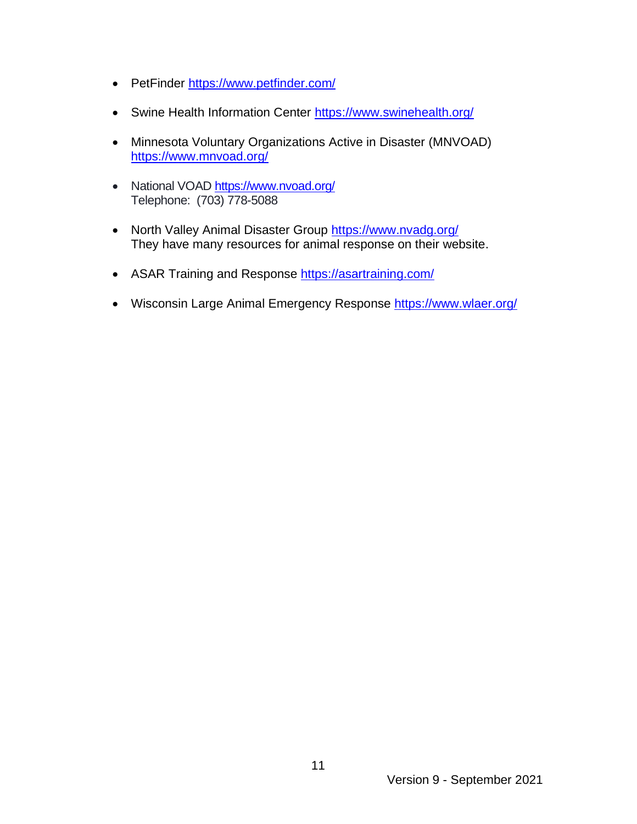- PetFinder<https://www.petfinder.com/>
- Swine Health Information Center<https://www.swinehealth.org/>
- Minnesota Voluntary Organizations Active in Disaster (MNVOAD) <https://www.mnvoad.org/>
- National VOAD<https://www.nvoad.org/> Telephone: (703) 778-5088
- North Valley Animal Disaster Group https://www.nvadg.org/ They have many resources for animal response on their website.
- ASAR Training and Response<https://asartraining.com/>
- Wisconsin Large Animal Emergency Response<https://www.wlaer.org/>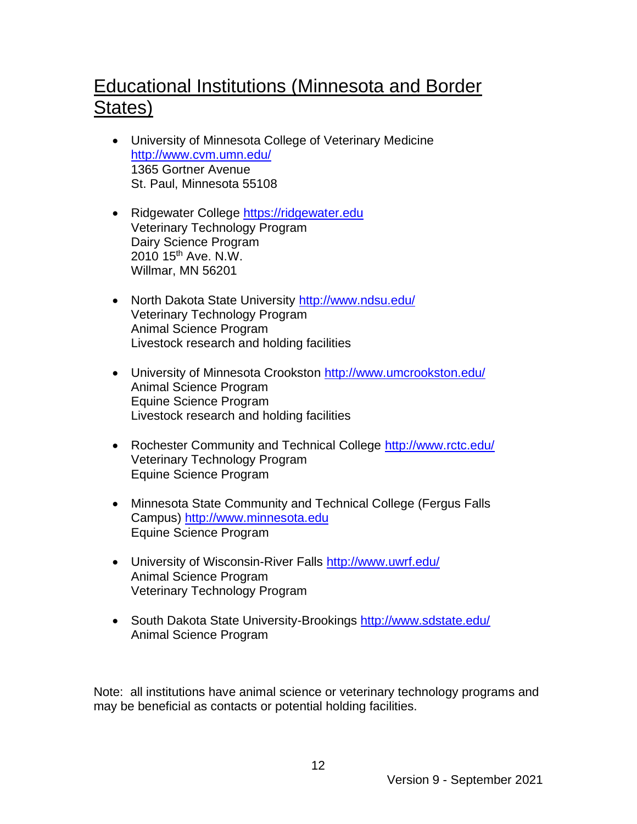## Educational Institutions (Minnesota and Border States)

- University of Minnesota College of Veterinary Medicine <http://www.cvm.umn.edu/> 1365 Gortner Avenue St. Paul, Minnesota 55108
- Ridgewater College https://ridgewater.edu Veterinary Technology Program Dairy Science Program 2010 15<sup>th</sup> Ave. N.W. Willmar, MN 56201
- North Dakota State University http://www.ndsu.edu/ Veterinary Technology Program Animal Science Program Livestock research and holding facilities
- University of Minnesota Crookston<http://www.umcrookston.edu/> Animal Science Program Equine Science Program Livestock research and holding facilities
- Rochester Community and Technical College http://www.rctc.edu/ Veterinary Technology Program Equine Science Program
- Minnesota State Community and Technical College (Fergus Falls Campus) [http://www.minnesota.edu](http://www.minnesota.edu/) Equine Science Program
- University of Wisconsin-River Falls<http://www.uwrf.edu/> Animal Science Program Veterinary Technology Program
- South Dakota State University-Brookings http://www.sdstate.edu/ Animal Science Program

Note: all institutions have animal science or veterinary technology programs and may be beneficial as contacts or potential holding facilities.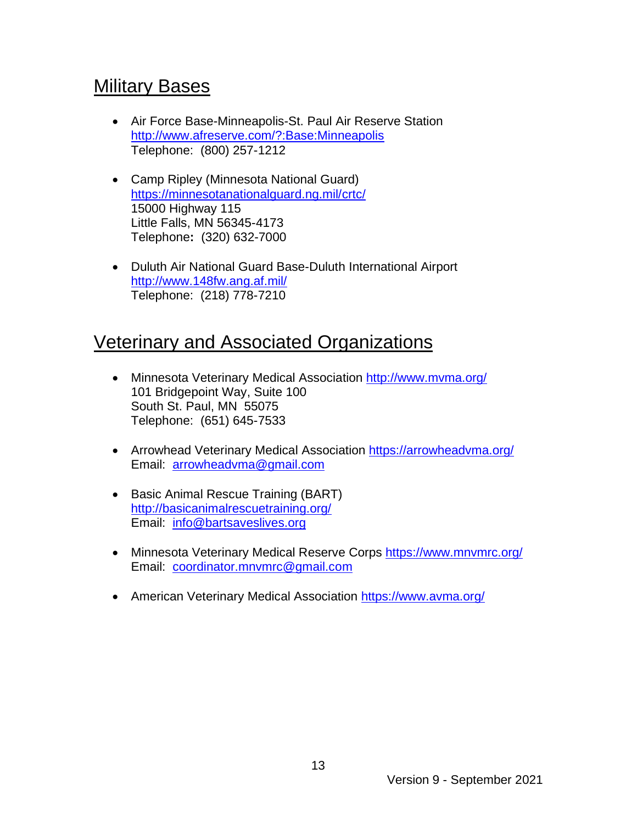### Military Bases

- Air Force Base-Minneapolis-St. Paul Air Reserve Station <http://www.afreserve.com/?:Base:Minneapolis> Telephone: (800) 257-1212
- Camp Ripley (Minnesota National Guard) <https://minnesotanationalguard.ng.mil/crtc/> 15000 Highway 115 Little Falls, MN 56345-4173 Telephone**:** (320) 632-7000
- Duluth Air National Guard Base-Duluth International Airport <http://www.148fw.ang.af.mil/> Telephone: (218) 778-7210

### Veterinary and Associated Organizations

- Minnesota Veterinary Medical Association <http://www.mvma.org/> 101 Bridgepoint Way, Suite 100 South St. Paul, MN 55075 Telephone: (651) 645-7533
- Arrowhead Veterinary Medical Association <https://arrowheadvma.org/> Email: [arrowheadvma@gmail.com](mailto:arrowheadvma@gmail.com)
- Basic Animal Rescue Training (BART) <http://basicanimalrescuetraining.org/> Email: [info@bartsaveslives.org](mailto:info@bartsaveslives.org)
- Minnesota Veterinary Medical Reserve Corps<https://www.mnvmrc.org/> Email: [coordinator.mnvmrc@gmail.com](mailto:coordinator.mnvmrc@gmail.com)
- American Veterinary Medical Association<https://www.avma.org/>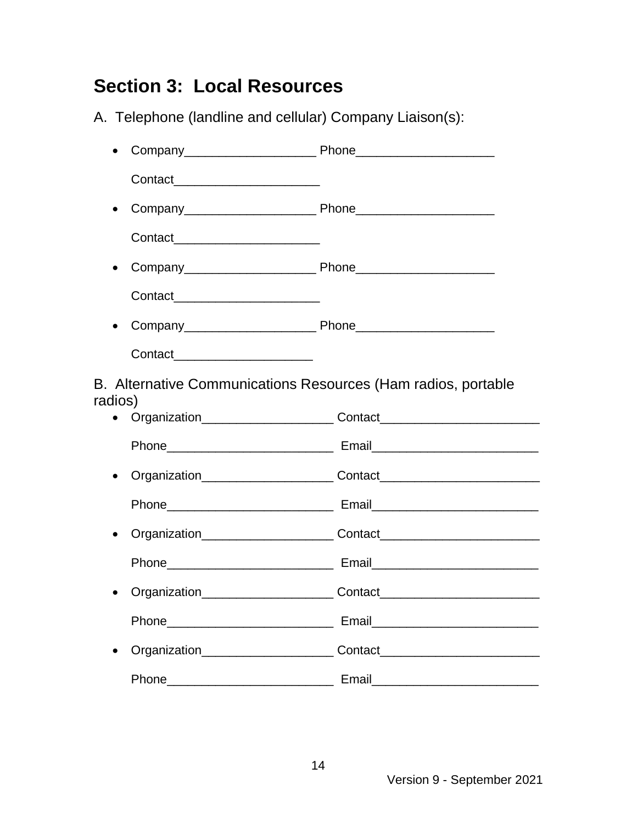## **Section 3: Local Resources**

A. Telephone (landline and cellular) Company Liaison(s):

• Company\_\_\_\_\_\_\_\_\_\_\_\_\_\_\_\_\_\_\_ Phone\_\_\_\_\_\_\_\_\_\_\_\_\_\_\_\_\_\_\_\_ Contact<sub>ive</sub> Contactive Contactive Contactive Contactive Contactive Contactive Contactive Contactive Contactive Contactive Contactive Contactive Contactive Contactive Contactive Contactive Contactive Contactive Contactive • Company\_\_\_\_\_\_\_\_\_\_\_\_\_\_\_\_\_\_\_ Phone\_\_\_\_\_\_\_\_\_\_\_\_\_\_\_\_\_\_\_\_ Contact<sub>ive</sub> • Company\_\_\_\_\_\_\_\_\_\_\_\_\_\_\_\_\_\_\_ Phone\_\_\_\_\_\_\_\_\_\_\_\_\_\_\_\_\_\_\_\_ Contact\_\_\_\_\_\_\_\_\_\_\_\_\_\_\_\_\_\_\_\_\_ • Company\_\_\_\_\_\_\_\_\_\_\_\_\_\_\_\_\_\_\_ Phone\_\_\_\_\_\_\_\_\_\_\_\_\_\_\_\_\_\_\_\_ Contact \_\_\_\_\_\_\_\_\_\_\_\_\_\_\_\_\_\_\_\_\_\_ B. Alternative Communications Resources (Ham radios, portable radios) • Organization **Contact** Phone **Email** • Organization **Contact** Phone **Email** • Organization **Contact** Phone\_\_\_\_\_\_\_\_\_\_\_\_\_\_\_\_\_\_\_\_\_\_\_\_ Email\_\_\_\_\_\_\_\_\_\_\_\_\_\_\_\_\_\_\_\_\_\_\_\_ • Organization\_\_\_\_\_\_\_\_\_\_\_\_\_\_\_\_\_\_\_ Contact\_\_\_\_\_\_\_\_\_\_\_\_\_\_\_\_\_\_\_\_\_\_\_ Phone\_\_\_\_\_\_\_\_\_\_\_\_\_\_\_\_\_\_\_\_\_\_\_\_ Email\_\_\_\_\_\_\_\_\_\_\_\_\_\_\_\_\_\_\_\_\_\_\_\_ • Organization\_\_\_\_\_\_\_\_\_\_\_\_\_\_\_\_\_\_\_ Contact\_\_\_\_\_\_\_\_\_\_\_\_\_\_\_\_\_\_\_\_\_\_\_ Phone\_\_\_\_\_\_\_\_\_\_\_\_\_\_\_\_\_\_\_\_\_\_\_\_ Email\_\_\_\_\_\_\_\_\_\_\_\_\_\_\_\_\_\_\_\_\_\_\_\_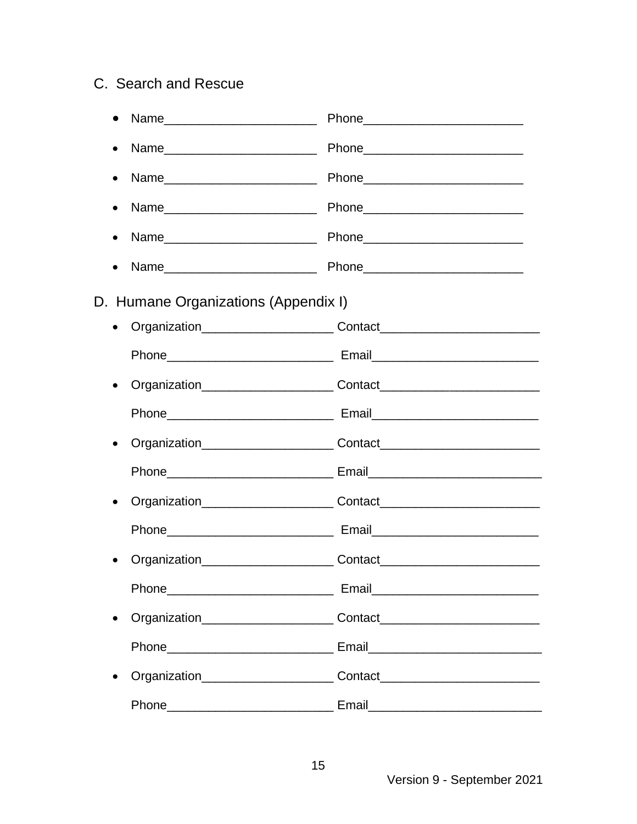#### C. Search and Rescue

| $\bullet$ |                                      |                                                                                  |  |  |
|-----------|--------------------------------------|----------------------------------------------------------------------------------|--|--|
| $\bullet$ |                                      |                                                                                  |  |  |
| $\bullet$ |                                      |                                                                                  |  |  |
| $\bullet$ |                                      |                                                                                  |  |  |
| $\bullet$ |                                      |                                                                                  |  |  |
|           |                                      |                                                                                  |  |  |
|           | D. Humane Organizations (Appendix I) |                                                                                  |  |  |
| $\bullet$ |                                      | Organization___________________________Contact__________________________________ |  |  |
|           |                                      |                                                                                  |  |  |
| $\bullet$ |                                      | Organization____________________________Contact_________________________________ |  |  |
|           |                                      |                                                                                  |  |  |
| $\bullet$ |                                      | Organization___________________________Contact__________________________________ |  |  |
|           |                                      |                                                                                  |  |  |
| $\bullet$ |                                      |                                                                                  |  |  |
|           |                                      |                                                                                  |  |  |
|           |                                      | Organization____________________________Contact_________________________________ |  |  |
|           |                                      |                                                                                  |  |  |
| $\bullet$ |                                      |                                                                                  |  |  |
|           |                                      |                                                                                  |  |  |
| $\bullet$ |                                      | Organization___________________________Contact__________________________________ |  |  |
|           |                                      |                                                                                  |  |  |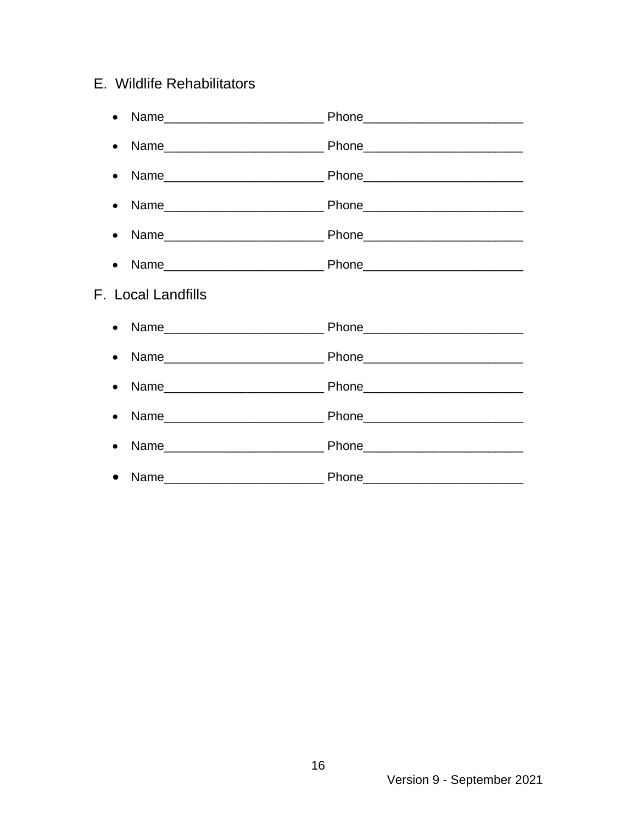#### E. Wildlife Rehabilitators

| $\bullet$          |  |
|--------------------|--|
|                    |  |
|                    |  |
|                    |  |
|                    |  |
| F. Local Landfills |  |
|                    |  |
|                    |  |
|                    |  |
|                    |  |
| $\bullet$          |  |
|                    |  |

Version 9 - September 2021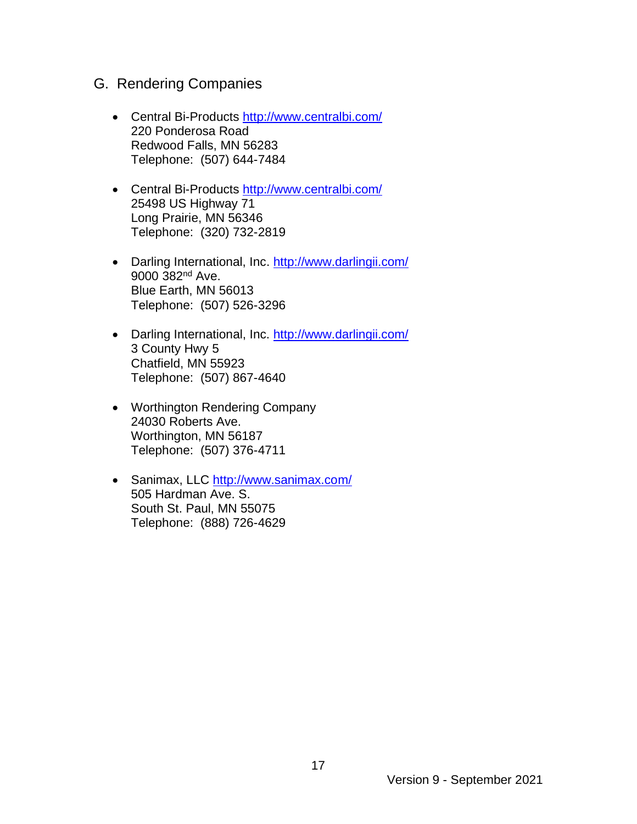- G. Rendering Companies
	- Central Bi-Products <http://www.centralbi.com/> 220 Ponderosa Road Redwood Falls, MN 56283 Telephone: (507) 644-7484
	- Central Bi-Products <http://www.centralbi.com/> 25498 US Highway 71 Long Prairie, MN 56346 Telephone: (320) 732-2819
	- Darling International, Inc. http://www.darlingii.com/ 9000 382nd Ave. Blue Earth, MN 56013 Telephone: (507) 526-3296
	- Darling International, Inc. http://www.darlingii.com/ 3 County Hwy 5 Chatfield, MN 55923 Telephone: (507) 867-4640
	- Worthington Rendering Company 24030 Roberts Ave. Worthington, MN 56187 Telephone: (507) 376-4711
	- Sanimax, LLC<http://www.sanimax.com/> 505 Hardman Ave. S. South St. Paul, MN 55075 Telephone: (888) 726-4629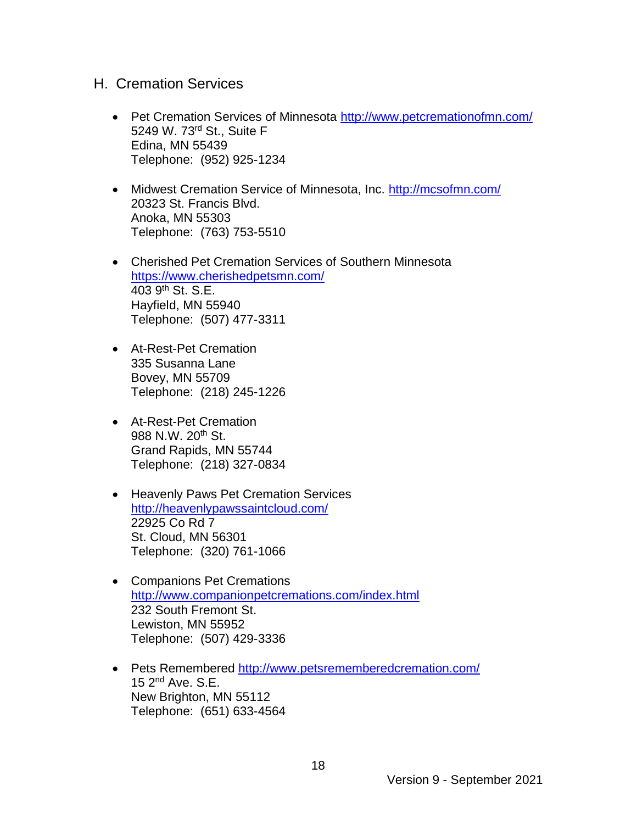#### H. Cremation Services

- Pet Cremation Services of Minnesota<http://www.petcremationofmn.com/> 5249 W. 73rd St., Suite F Edina, MN 55439 Telephone: (952) 925-1234
- Midwest Cremation Service of Minnesota, Inc.<http://mcsofmn.com/> 20323 St. Francis Blvd. Anoka, MN 55303 Telephone: (763) 753-5510
- Cherished Pet Cremation Services of Southern Minnesota <https://www.cherishedpetsmn.com/> 403 9th St. S.E. Hayfield, MN 55940 Telephone: (507) 477-3311
- At-Rest-Pet Cremation 335 Susanna Lane Bovey, MN 55709 Telephone: (218) 245-1226
- At-Rest-Pet Cremation 988 N.W. 20<sup>th</sup> St. Grand Rapids, MN 55744 Telephone: (218) 327-0834
- Heavenly Paws Pet Cremation Services <http://heavenlypawssaintcloud.com/> 22925 Co Rd 7 St. Cloud, MN 56301 Telephone: (320) 761-1066
- Companions Pet Cremations <http://www.companionpetcremations.com/index.html> 232 South Fremont St. Lewiston, MN 55952 Telephone: (507) 429-3336
- Pets Remembered<http://www.petsrememberedcremation.com/> 15 2nd Ave. S.E. New Brighton, MN 55112 Telephone: (651) 633-4564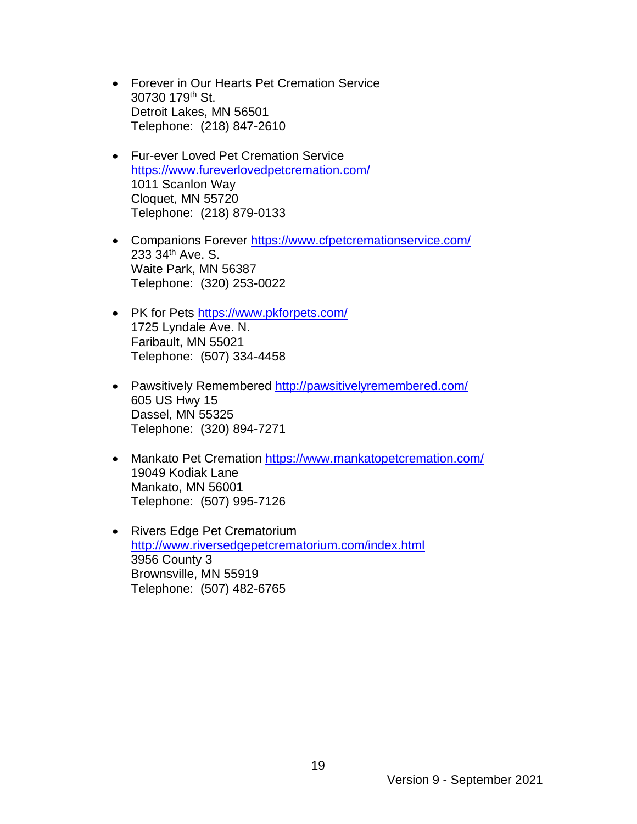- Forever in Our Hearts Pet Cremation Service 30730 179th St. Detroit Lakes, MN 56501 Telephone: (218) 847-2610
- Fur-ever Loved Pet Cremation Service <https://www.fureverlovedpetcremation.com/> 1011 Scanlon Way Cloquet, MN 55720 Telephone: (218) 879-0133
- Companions Forever <https://www.cfpetcremationservice.com/> 233 34th Ave. S. Waite Park, MN 56387 Telephone: (320) 253-0022
- PK for Pets https://www.pkforpets.com/ 1725 Lyndale Ave. N. Faribault, MN 55021 Telephone: (507) 334-4458
- Pawsitively Remembered<http://pawsitivelyremembered.com/> 605 US Hwy 15 Dassel, MN 55325 Telephone: (320) 894-7271
- Mankato Pet Cremation<https://www.mankatopetcremation.com/> 19049 Kodiak Lane Mankato, MN 56001 Telephone: (507) 995-7126
- Rivers Edge Pet Crematorium <http://www.riversedgepetcrematorium.com/index.html> 3956 County 3 Brownsville, MN 55919 Telephone: (507) 482-6765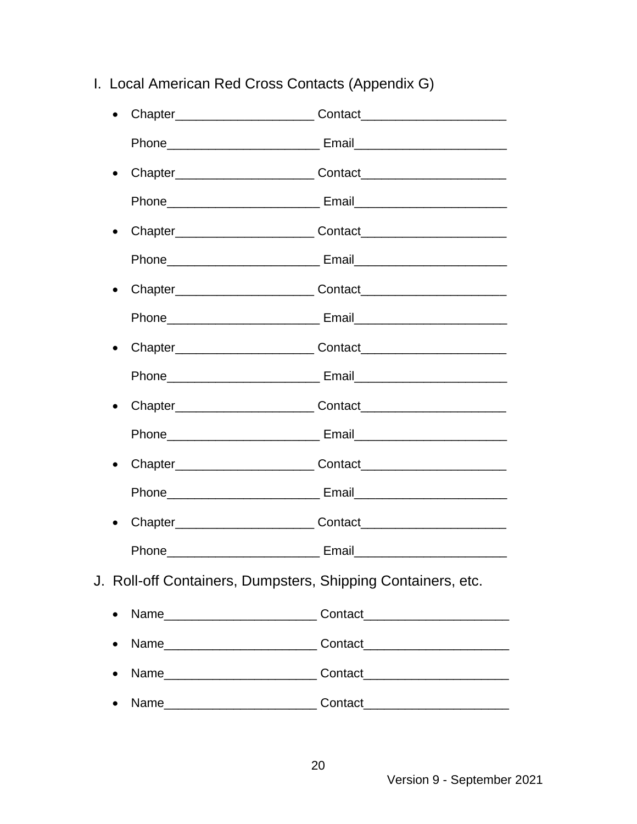I. Local American Red Cross Contacts (Appendix G)

| $\bullet$                                                    | Chapter________________________________Contact__________________________________ |  |  |
|--------------------------------------------------------------|----------------------------------------------------------------------------------|--|--|
|                                                              |                                                                                  |  |  |
| $\bullet$                                                    |                                                                                  |  |  |
|                                                              | Phone__________________________________ Email___________________________________ |  |  |
| $\bullet$                                                    |                                                                                  |  |  |
|                                                              |                                                                                  |  |  |
| $\bullet$                                                    |                                                                                  |  |  |
|                                                              | Phone__________________________________ Email___________________________________ |  |  |
| $\bullet$                                                    |                                                                                  |  |  |
|                                                              | Phone__________________________________ Email___________________________________ |  |  |
| $\bullet$                                                    | Chapter Contact Contact                                                          |  |  |
|                                                              |                                                                                  |  |  |
| $\bullet$                                                    |                                                                                  |  |  |
|                                                              | Phone__________________________________ Email___________________________________ |  |  |
| $\bullet$                                                    |                                                                                  |  |  |
|                                                              |                                                                                  |  |  |
| J. Roll-off Containers, Dumpsters, Shipping Containers, etc. |                                                                                  |  |  |
| $\bullet$                                                    |                                                                                  |  |  |
|                                                              | Name___________________________________Contact__________________________________ |  |  |
|                                                              | Name___________________________________Contact__________________________________ |  |  |
| $\bullet$                                                    |                                                                                  |  |  |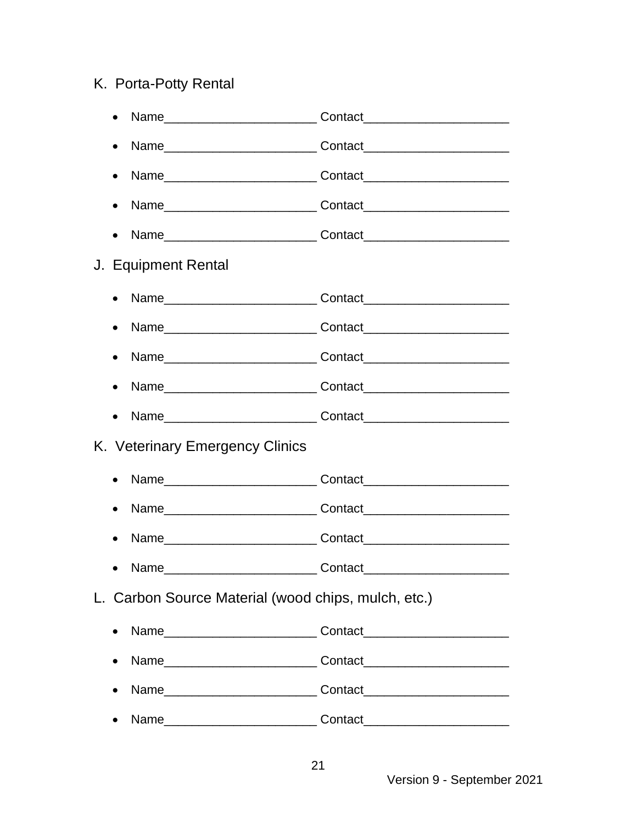### K. Porta-Potty Rental

| $\bullet$                                           |                                                                                  |  |  |
|-----------------------------------------------------|----------------------------------------------------------------------------------|--|--|
|                                                     | Name___________________________________Contact__________________________________ |  |  |
|                                                     |                                                                                  |  |  |
| $\bullet$                                           |                                                                                  |  |  |
| J. Equipment Rental                                 |                                                                                  |  |  |
| $\bullet$                                           |                                                                                  |  |  |
|                                                     | Name___________________________________Contact__________________________________ |  |  |
|                                                     | Name___________________________________Contact__________________________________ |  |  |
|                                                     |                                                                                  |  |  |
|                                                     |                                                                                  |  |  |
| K. Veterinary Emergency Clinics                     |                                                                                  |  |  |
| $\bullet$                                           | Name___________________________________Contact__________________________________ |  |  |
| $\bullet$                                           | Name___________________________________Contact__________________________________ |  |  |
|                                                     | Name___________________________________Contact__________________________________ |  |  |
| Name                                                | Contact                                                                          |  |  |
| L. Carbon Source Material (wood chips, mulch, etc.) |                                                                                  |  |  |
| $\bullet$                                           | Name___________________________________Contact__________________________________ |  |  |
|                                                     | Name___________________________________Contact__________________________________ |  |  |
|                                                     | Name___________________________________Contact__________________________________ |  |  |
|                                                     | Name___________________________________Contact__________________________________ |  |  |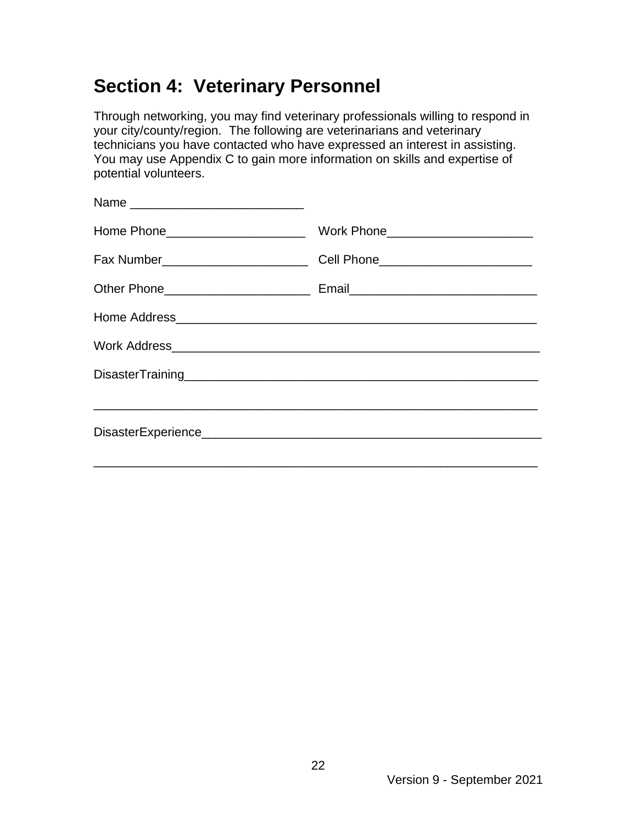## **Section 4: Veterinary Personnel**

Through networking, you may find veterinary professionals willing to respond in your city/county/region. The following are veterinarians and veterinary technicians you have contacted who have expressed an interest in assisting. You may use Appendix C to gain more information on skills and expertise of potential volunteers.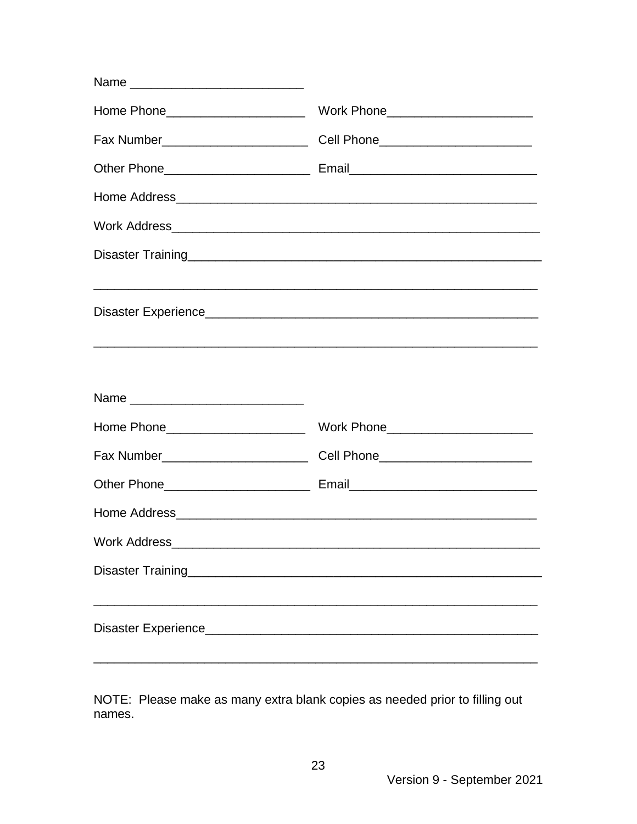| Name |                                                                                  |
|------|----------------------------------------------------------------------------------|
|      |                                                                                  |
|      | Fax Number_______________________________Cell Phone_____________________________ |
|      |                                                                                  |
|      |                                                                                  |
|      |                                                                                  |
|      |                                                                                  |
|      |                                                                                  |

NOTE: Please make as many extra blank copies as needed prior to filling out names.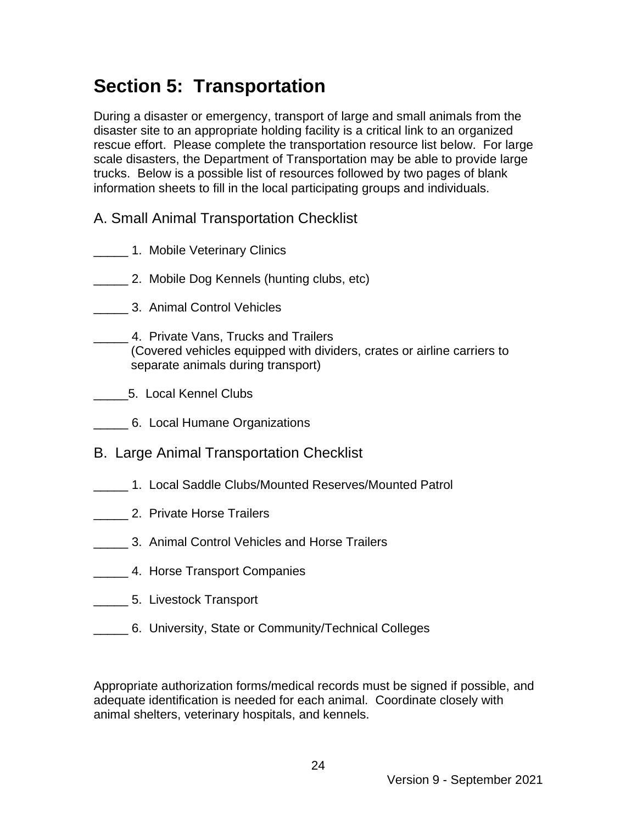## **Section 5: Transportation**

During a disaster or emergency, transport of large and small animals from the disaster site to an appropriate holding facility is a critical link to an organized rescue effort. Please complete the transportation resource list below. For large scale disasters, the Department of Transportation may be able to provide large trucks. Below is a possible list of resources followed by two pages of blank information sheets to fill in the local participating groups and individuals.

- A. Small Animal Transportation Checklist
- **\_\_\_\_\_\_\_\_ 1. Mobile Veterinary Clinics**
- \_\_\_\_\_ 2. Mobile Dog Kennels (hunting clubs, etc)
- \_\_\_\_\_ 3. Animal Control Vehicles
- \_\_\_\_\_ 4. Private Vans, Trucks and Trailers (Covered vehicles equipped with dividers, crates or airline carriers to separate animals during transport)
- \_\_\_\_\_5. Local Kennel Clubs
- **6. Local Humane Organizations**
- B. Large Animal Transportation Checklist
- \_\_\_\_\_ 1. Local Saddle Clubs/Mounted Reserves/Mounted Patrol
- \_\_\_\_\_ 2. Private Horse Trailers
- \_\_\_\_\_ 3. Animal Control Vehicles and Horse Trailers
- **LETT** 4. Horse Transport Companies
- **\_\_\_\_\_\_\_\_ 5.** Livestock Transport
- \_\_\_\_\_ 6. University, State or Community/Technical Colleges

Appropriate authorization forms/medical records must be signed if possible, and adequate identification is needed for each animal. Coordinate closely with animal shelters, veterinary hospitals, and kennels.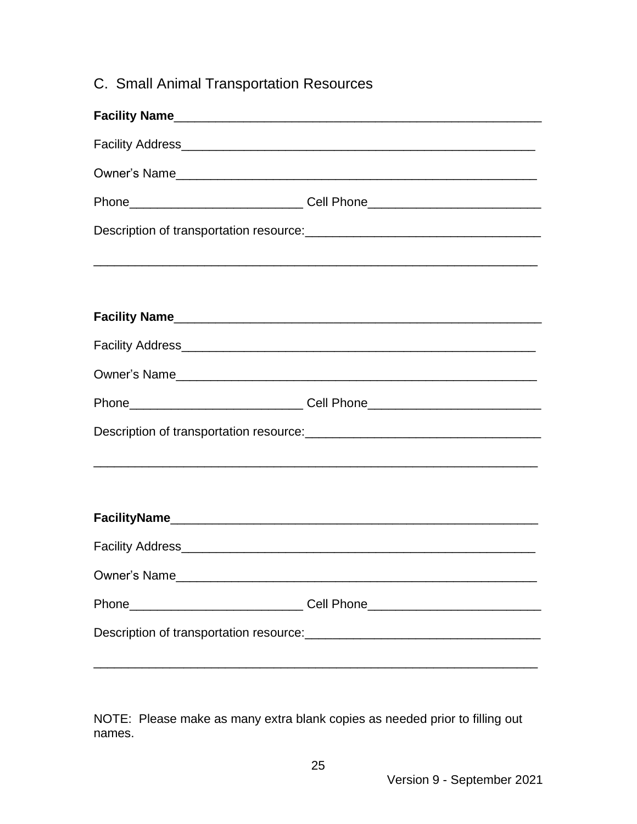### C. Small Animal Transportation Resources

|                                                                                                                                                                                                                                    | Phone________________________________Cell Phone_________________________________ |  |  |
|------------------------------------------------------------------------------------------------------------------------------------------------------------------------------------------------------------------------------------|----------------------------------------------------------------------------------|--|--|
|                                                                                                                                                                                                                                    |                                                                                  |  |  |
|                                                                                                                                                                                                                                    |                                                                                  |  |  |
|                                                                                                                                                                                                                                    |                                                                                  |  |  |
|                                                                                                                                                                                                                                    |                                                                                  |  |  |
|                                                                                                                                                                                                                                    |                                                                                  |  |  |
|                                                                                                                                                                                                                                    | Phone________________________________Cell Phone_________________________________ |  |  |
| Description of transportation resource: <u>contained and contained and contained</u> and contained a property of the contained and contained a property of the contained and contained a property of the contained and contained a |                                                                                  |  |  |
|                                                                                                                                                                                                                                    |                                                                                  |  |  |
|                                                                                                                                                                                                                                    |                                                                                  |  |  |
|                                                                                                                                                                                                                                    |                                                                                  |  |  |
|                                                                                                                                                                                                                                    |                                                                                  |  |  |
| Owner's Name                                                                                                                                                                                                                       |                                                                                  |  |  |
| Phone                                                                                                                                                                                                                              |                                                                                  |  |  |
| Description of transportation resource: <u>__________________________________</u>                                                                                                                                                  |                                                                                  |  |  |
|                                                                                                                                                                                                                                    |                                                                                  |  |  |

NOTE: Please make as many extra blank copies as needed prior to filling out names.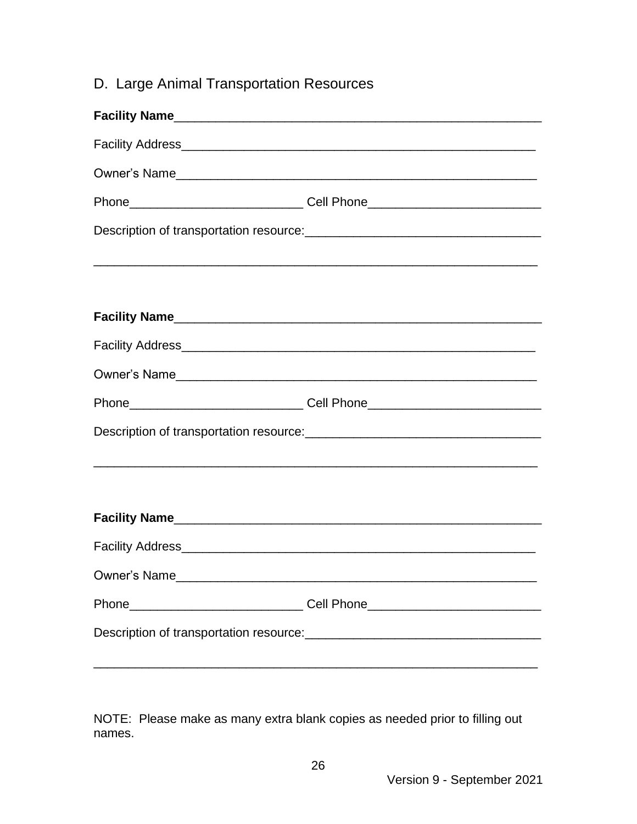### D. Large Animal Transportation Resources

|              | Phone_________________________________Cell Phone________________________________                                                                                                                                                     |
|--------------|--------------------------------------------------------------------------------------------------------------------------------------------------------------------------------------------------------------------------------------|
|              | Description of transportation resource: <b>with the contract of the contract of the contract of the contract of the contract of the contract of the contract of the contract of the contract of the contract of the contract of </b> |
|              |                                                                                                                                                                                                                                      |
|              |                                                                                                                                                                                                                                      |
|              |                                                                                                                                                                                                                                      |
|              |                                                                                                                                                                                                                                      |
|              | Phone________________________________Cell Phone_________________________________                                                                                                                                                     |
|              | Description of transportation resource: [11] Description of transportation resource:                                                                                                                                                 |
|              |                                                                                                                                                                                                                                      |
|              |                                                                                                                                                                                                                                      |
|              |                                                                                                                                                                                                                                      |
| Owner's Name |                                                                                                                                                                                                                                      |
|              | Phone________________________________Cell Phone_________________________________                                                                                                                                                     |
|              |                                                                                                                                                                                                                                      |
|              |                                                                                                                                                                                                                                      |

NOTE: Please make as many extra blank copies as needed prior to filling out names.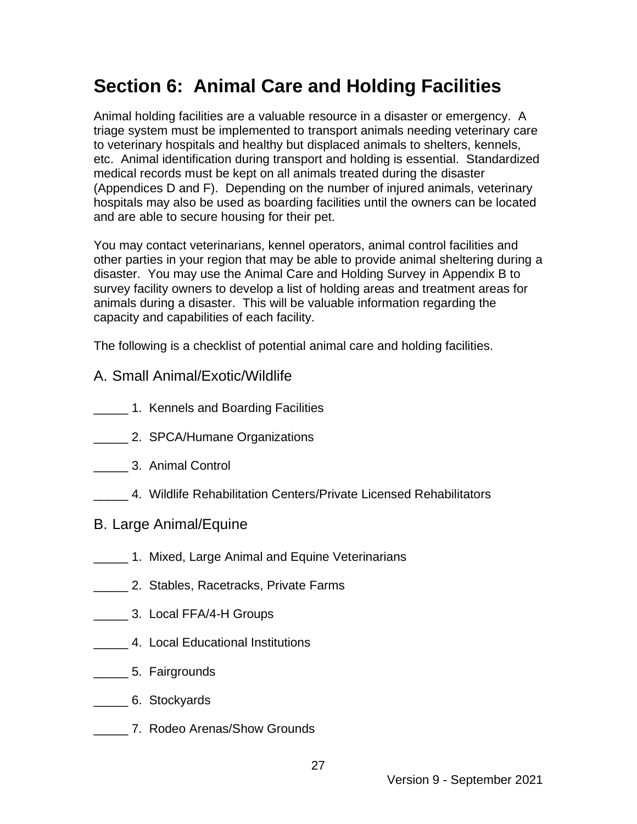## **Section 6: Animal Care and Holding Facilities**

Animal holding facilities are a valuable resource in a disaster or emergency. A triage system must be implemented to transport animals needing veterinary care to veterinary hospitals and healthy but displaced animals to shelters, kennels, etc. Animal identification during transport and holding is essential. Standardized medical records must be kept on all animals treated during the disaster (Appendices D and F). Depending on the number of injured animals, veterinary hospitals may also be used as boarding facilities until the owners can be located and are able to secure housing for their pet.

You may contact veterinarians, kennel operators, animal control facilities and other parties in your region that may be able to provide animal sheltering during a disaster. You may use the Animal Care and Holding Survey in Appendix B to survey facility owners to develop a list of holding areas and treatment areas for animals during a disaster. This will be valuable information regarding the capacity and capabilities of each facility.

The following is a checklist of potential animal care and holding facilities.

- A. Small Animal/Exotic/Wildlife
- \_\_\_\_\_ 1. Kennels and Boarding Facilities
- \_\_\_\_\_ 2. SPCA/Humane Organizations
- **2008** 3. Animal Control
- \_\_\_\_\_ 4. Wildlife Rehabilitation Centers/Private Licensed Rehabilitators
- B. Large Animal/Equine
- 1. Mixed, Large Animal and Equine Veterinarians
- **2. Stables, Racetracks, Private Farms**
- \_\_\_\_\_ 3. Local FFA/4-H Groups
- \_\_\_\_\_ 4. Local Educational Institutions
- \_\_\_\_\_ 5. Fairgrounds
- \_\_\_\_\_ 6. Stockyards
- **T.** 7. Rodeo Arenas/Show Grounds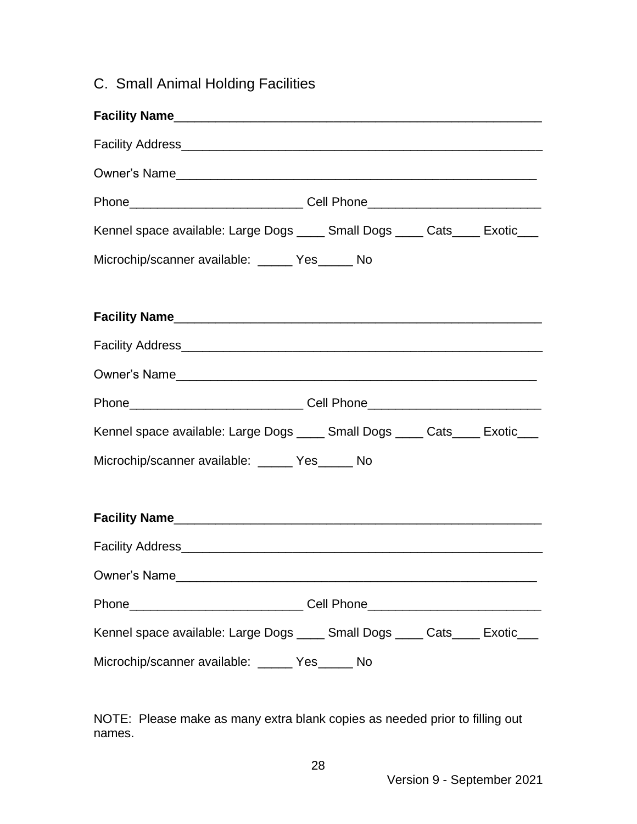### C. Small Animal Holding Facilities

| Owner's Name.                                                                    |
|----------------------------------------------------------------------------------|
| Phone___________________________________Cell Phone______________________________ |
| Kennel space available: Large Dogs _____ Small Dogs _____ Cats____ Exotic___     |
| Microchip/scanner available: _____ Yes_____ No                                   |
|                                                                                  |
|                                                                                  |
|                                                                                  |
|                                                                                  |
| Phone___________________________________Cell Phone______________________________ |
| Kennel space available: Large Dogs _____ Small Dogs _____ Cats____ Exotic___     |
| Microchip/scanner available: _____ Yes_____ No                                   |
|                                                                                  |
|                                                                                  |
|                                                                                  |
| Owner's Name                                                                     |
| Phone_________________________________Cell Phone________________________________ |
| Kennel space available: Large Dogs _____ Small Dogs _____ Cats____ Exotic___     |
| Microchip/scanner available: _____ Yes_____ No                                   |

NOTE: Please make as many extra blank copies as needed prior to filling out names.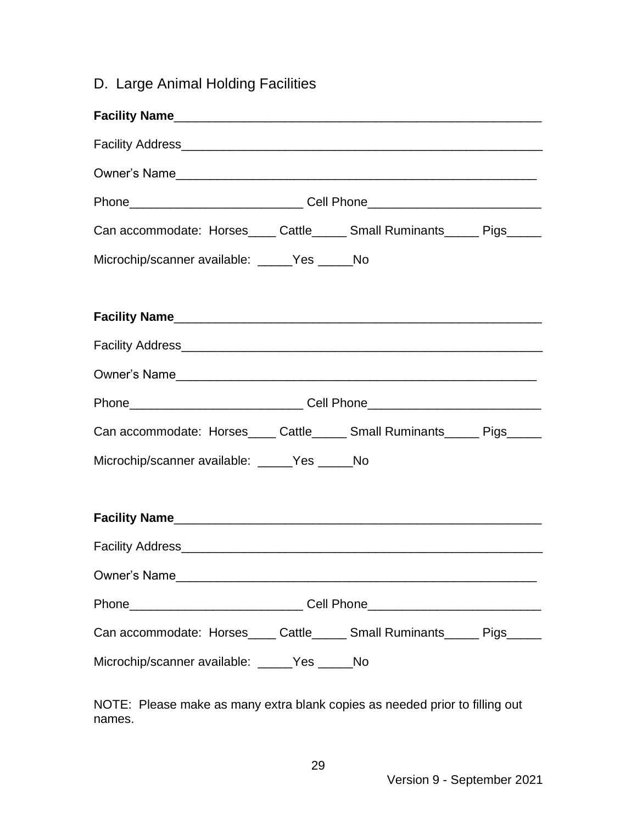### D. Large Animal Holding Facilities

| Can accommodate: Horses_____ Cattle______ Small Ruminants______ Pigs______       |  |  |  |  |  |
|----------------------------------------------------------------------------------|--|--|--|--|--|
| Microchip/scanner available: _____Yes _____No                                    |  |  |  |  |  |
|                                                                                  |  |  |  |  |  |
|                                                                                  |  |  |  |  |  |
|                                                                                  |  |  |  |  |  |
|                                                                                  |  |  |  |  |  |
| Can accommodate: Horses____ Cattle_____ Small Ruminants_____ Pigs_____           |  |  |  |  |  |
| Microchip/scanner available: _____Yes _____No                                    |  |  |  |  |  |
|                                                                                  |  |  |  |  |  |
|                                                                                  |  |  |  |  |  |
|                                                                                  |  |  |  |  |  |
| Phone___________________________________Cell Phone______________________________ |  |  |  |  |  |
| Can accommodate: Horses____ Cattle_____ Small Ruminants_____ Pigs_____           |  |  |  |  |  |
| Microchip/scanner available: _____Yes _____No                                    |  |  |  |  |  |

NOTE: Please make as many extra blank copies as needed prior to filling out names.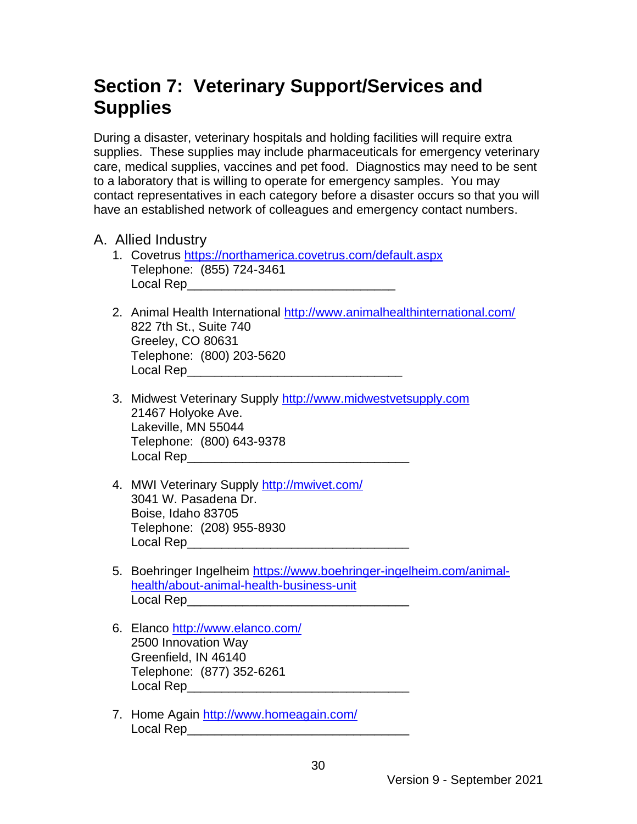## **Section 7: Veterinary Support/Services and Supplies**

During a disaster, veterinary hospitals and holding facilities will require extra supplies. These supplies may include pharmaceuticals for emergency veterinary care, medical supplies, vaccines and pet food. Diagnostics may need to be sent to a laboratory that is willing to operate for emergency samples. You may contact representatives in each category before a disaster occurs so that you will have an established network of colleagues and emergency contact numbers.

- A. Allied Industry
	- 1. Covetrus<https://northamerica.covetrus.com/default.aspx> Telephone: (855) 724-3461 Local Rep\_\_\_\_\_\_\_\_\_\_\_\_\_\_\_\_\_\_\_\_\_\_\_\_\_\_\_\_\_\_
	- 2. Animal Health International<http://www.animalhealthinternational.com/> 822 7th St., Suite 740 Greeley, CO 80631 Telephone: (800) 203-5620 Local Rep\_\_\_\_\_\_\_\_\_\_\_\_\_\_\_\_\_\_\_\_\_\_\_\_\_\_\_\_\_\_\_
	- 3. Midwest Veterinary Supply [http://www.midwestvetsupply.com](http://www.midwestvetsupply.com/) 21467 Holyoke Ave. Lakeville, MN 55044 Telephone: (800) 643-9378 Local Rep
	- 4. MWI Veterinary Supply<http://mwivet.com/> 3041 W. Pasadena Dr. Boise, Idaho 83705 Telephone: (208) 955-8930 Local Rep\_\_\_\_\_\_\_\_\_\_\_\_\_\_\_\_\_\_\_\_\_\_\_\_\_\_\_\_\_\_\_\_
	- 5. Boehringer Ingelheim [https://www.boehringer-ingelheim.com/animal](https://www.boehringer-ingelheim.com/animal-health/about-animal-health-business-unit)[health/about-animal-health-business-unit](https://www.boehringer-ingelheim.com/animal-health/about-animal-health-business-unit) Local Rep

30

- 6. Elanco<http://www.elanco.com/> 2500 Innovation Way Greenfield, IN 46140 Telephone: (877) 352-6261  $\frac{1}{2}$  Local Rep
- 7. Home Again<http://www.homeagain.com/> Local Rep\_\_\_\_\_\_\_\_\_\_\_\_\_\_\_\_\_\_\_\_\_\_\_\_\_\_\_\_\_\_\_\_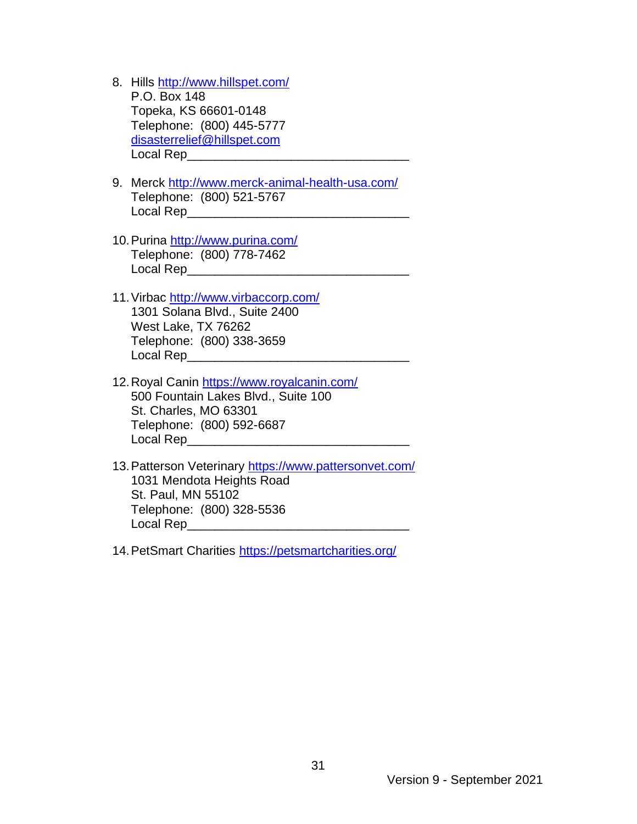- 8. Hills <http://www.hillspet.com/> P.O. Box 148 Topeka, KS 66601-0148 Telephone: (800) 445-5777 [disasterrelief@hillspet.com](mailto:disasterrelief@hillspet.com) Local Rep\_
- 9. Merck<http://www.merck-animal-health-usa.com/> Telephone: (800) 521-5767 Local Rep\_\_\_\_\_\_\_\_\_\_\_\_\_\_\_\_\_\_\_\_\_\_\_\_\_\_\_\_\_\_\_\_
- 10.Purina <http://www.purina.com/> Telephone: (800) 778-7462 Local Rep\_\_\_\_\_\_\_\_\_\_\_\_\_\_\_\_\_\_\_\_\_\_\_\_\_\_\_\_\_\_\_\_
- 11.Virbac<http://www.virbaccorp.com/> 1301 Solana Blvd., Suite 2400 West Lake, TX 76262 Telephone: (800) 338-3659 Local Rep\_\_\_\_\_\_\_\_\_\_\_\_\_\_\_\_\_\_\_\_\_\_\_\_\_\_\_\_\_\_\_\_
- 12.Royal Canin<https://www.royalcanin.com/> 500 Fountain Lakes Blvd., Suite 100 St. Charles, MO 63301 Telephone: (800) 592-6687 Local Rep\_\_\_\_\_\_\_\_\_\_\_\_\_\_\_\_\_\_\_\_\_\_\_\_\_\_\_\_\_\_\_\_
- 13.Patterson Veterinary<https://www.pattersonvet.com/> 1031 Mendota Heights Road St. Paul, MN 55102 Telephone: (800) 328-5536 Local Rep\_\_\_\_\_\_\_\_\_\_\_\_\_\_\_\_\_\_\_\_\_\_\_\_\_\_\_\_\_\_\_\_

14.PetSmart Charities<https://petsmartcharities.org/>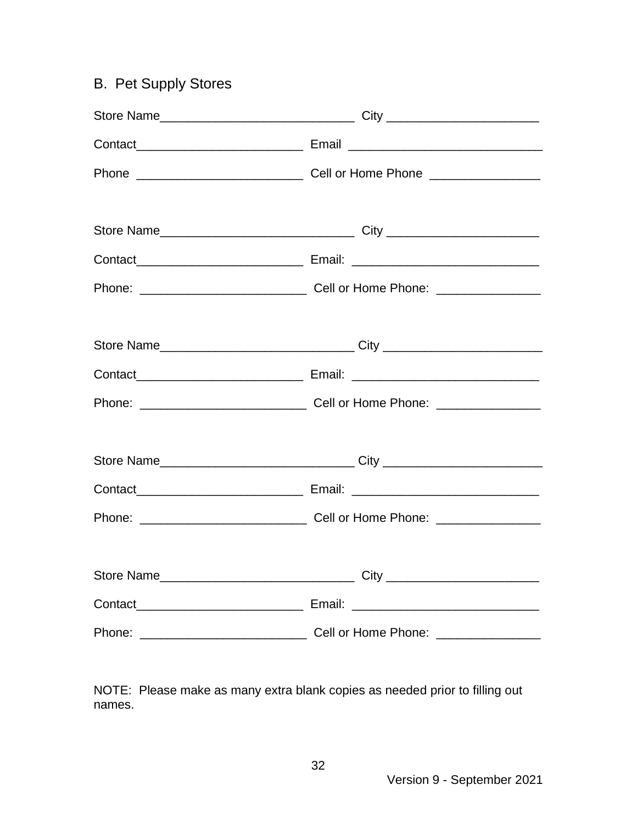### B. Pet Supply Stores

NOTE: Please make as many extra blank copies as needed prior to filling out names.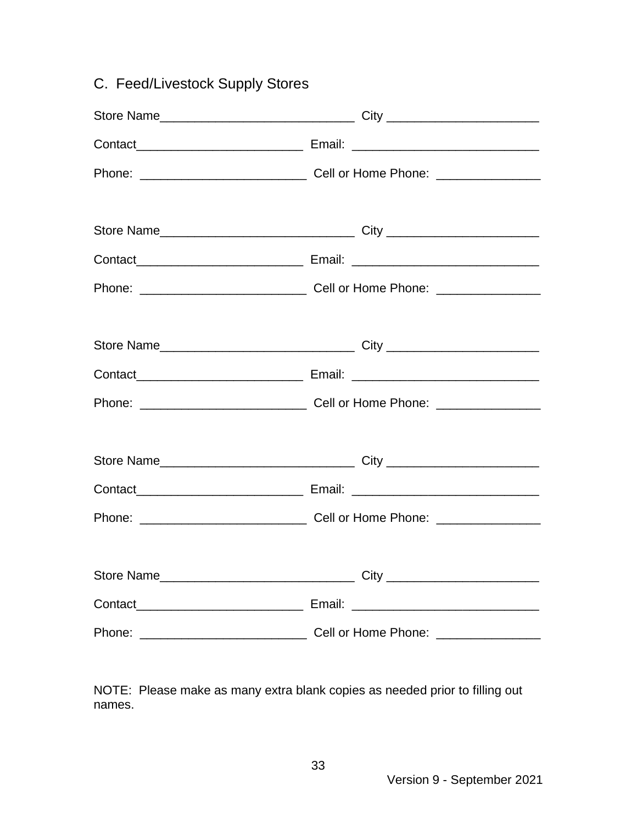| C. Feed/Livestock Supply Stores |  |  |  |  |
|---------------------------------|--|--|--|--|
|                                 |  |  |  |  |
|                                 |  |  |  |  |
|                                 |  |  |  |  |
|                                 |  |  |  |  |
|                                 |  |  |  |  |
|                                 |  |  |  |  |
|                                 |  |  |  |  |
|                                 |  |  |  |  |
|                                 |  |  |  |  |
|                                 |  |  |  |  |
|                                 |  |  |  |  |
|                                 |  |  |  |  |
|                                 |  |  |  |  |
|                                 |  |  |  |  |
|                                 |  |  |  |  |
|                                 |  |  |  |  |
|                                 |  |  |  |  |
|                                 |  |  |  |  |
|                                 |  |  |  |  |

NOTE: Please make as many extra blank copies as needed prior to filling out names.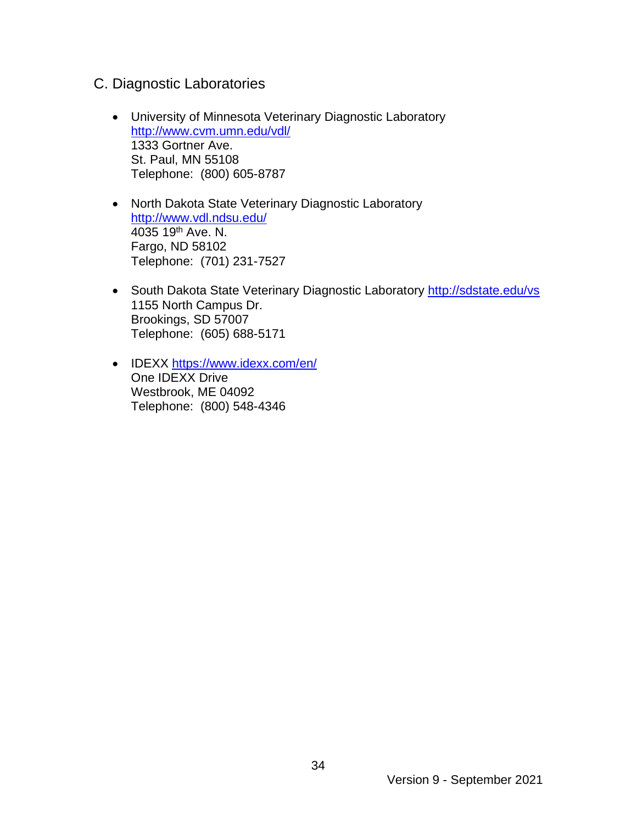- C. Diagnostic Laboratories
	- University of Minnesota Veterinary Diagnostic Laboratory <http://www.cvm.umn.edu/vdl/> 1333 Gortner Ave. St. Paul, MN 55108 Telephone: (800) 605-8787
	- North Dakota State Veterinary Diagnostic Laboratory <http://www.vdl.ndsu.edu/> 4035 19<sup>th</sup> Ave. N. Fargo, ND 58102 Telephone: (701) 231-7527
	- South Dakota State Veterinary Diagnostic Laboratory <http://sdstate.edu/vs> 1155 North Campus Dr. Brookings, SD 57007 Telephone: (605) 688-5171
	- IDEXX <https://www.idexx.com/en/> One IDEXX Drive Westbrook, ME 04092 Telephone: (800) 548-4346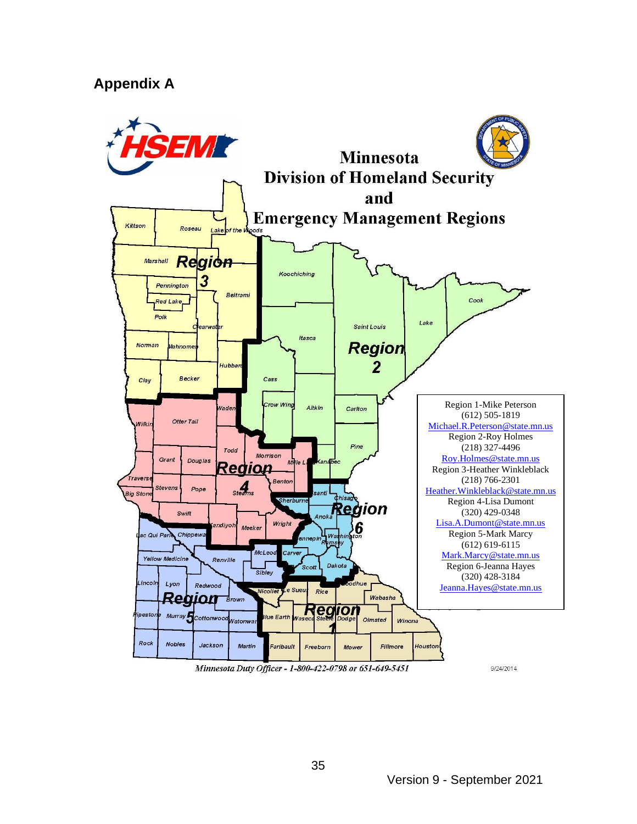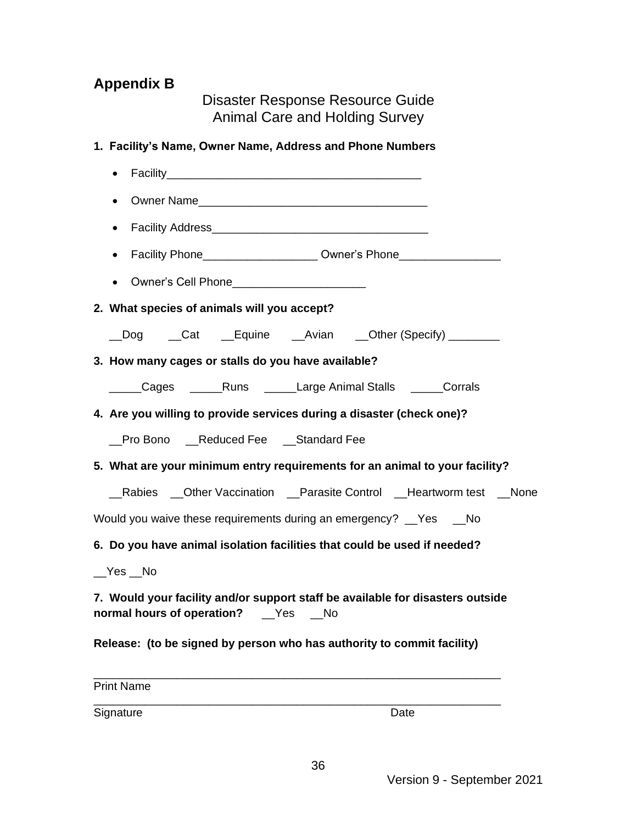### **Appendix B**

Disaster Response Resource Guide Animal Care and Holding Survey

| 1. Facility's Name, Owner Name, Address and Phone Numbers                                                               |
|-------------------------------------------------------------------------------------------------------------------------|
| $\bullet$                                                                                                               |
| $\bullet$                                                                                                               |
| $\bullet$                                                                                                               |
| Facility Phone_________________________ Owner's Phone___________________________<br>$\bullet$                           |
|                                                                                                                         |
| 2. What species of animals will you accept?                                                                             |
| __Dog ___Cat ___Equine ___Avian ___Other (Specify) _________                                                            |
| 3. How many cages or stalls do you have available?                                                                      |
| _____Cages ______Runs _____Large Animal Stalls _____Corrals                                                             |
| 4. Are you willing to provide services during a disaster (check one)?                                                   |
| _Pro Bono __Reduced Fee __Standard Fee                                                                                  |
| 5. What are your minimum entry requirements for an animal to your facility?                                             |
| Rabies __Other Vaccination __Parasite Control __Heartworm test __None                                                   |
| Would you waive these requirements during an emergency? _Yes _No                                                        |
| 6. Do you have animal isolation facilities that could be used if needed?                                                |
| $Yes$ No                                                                                                                |
| 7. Would your facility and/or support staff be available for disasters outside<br>normal hours of operation? __Yes __No |
| Release: (to be signed by person who has authority to commit facility)                                                  |
| <b>Print Name</b>                                                                                                       |
| Signature<br>Date                                                                                                       |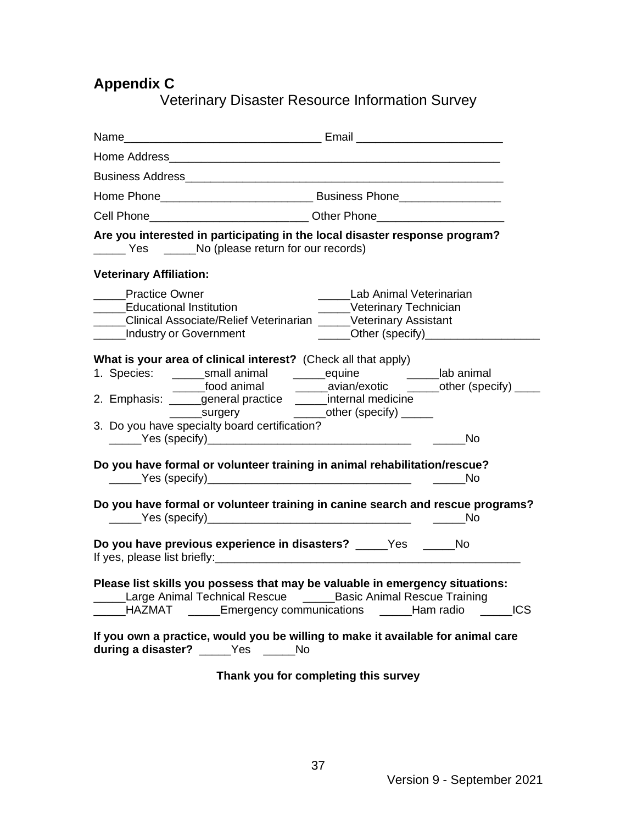### **Appendix C**

Veterinary Disaster Resource Information Survey

|                                                       | Cell Phone____________________________Other Phone_______________________________                                                                                                                                                                                                                                              |
|-------------------------------------------------------|-------------------------------------------------------------------------------------------------------------------------------------------------------------------------------------------------------------------------------------------------------------------------------------------------------------------------------|
|                                                       | Are you interested in participating in the local disaster response program?<br>Yes No (please return for our records)                                                                                                                                                                                                         |
| <b>Veterinary Affiliation:</b>                        |                                                                                                                                                                                                                                                                                                                               |
| <b>Practice Owner</b><br>_____Educational Institution | _____Lab Animal Veterinarian<br>$\mathcal{L}$<br>_____Veterinary Technician<br>____Clinical Associate/Relief Veterinarian _____Veterinary Assistant<br>______Other (specify)_________<br>______Industry or Government                                                                                                         |
|                                                       | What is your area of clinical interest? (Check all that apply)<br>1. Species: _______small animal ________equine ____________lab animal<br>______food animal ________ avian/exotic _______other (specify) _____<br>2. Emphasis: _____general practice _____internal medicine<br>3. Do you have specialty board certification? |
|                                                       | in the No                                                                                                                                                                                                                                                                                                                     |
|                                                       | Do you have formal or volunteer training in animal rehabilitation/rescue?                                                                                                                                                                                                                                                     |
|                                                       | Do you have formal or volunteer training in canine search and rescue programs?<br><b>No</b>                                                                                                                                                                                                                                   |
|                                                       | Do you have previous experience in disasters? _____Yes _____No                                                                                                                                                                                                                                                                |
|                                                       | Please list skills you possess that may be valuable in emergency situations:<br>Large Animal Technical Rescue _______Basic Animal Rescue Training<br>_____HAZMAT _____Emergency communications _____Ham radio _____ICS                                                                                                        |
|                                                       | If you own a practice, would you be willing to make it available for animal care<br>during a disaster? _____Yes _____No                                                                                                                                                                                                       |

**Thank you for completing this survey**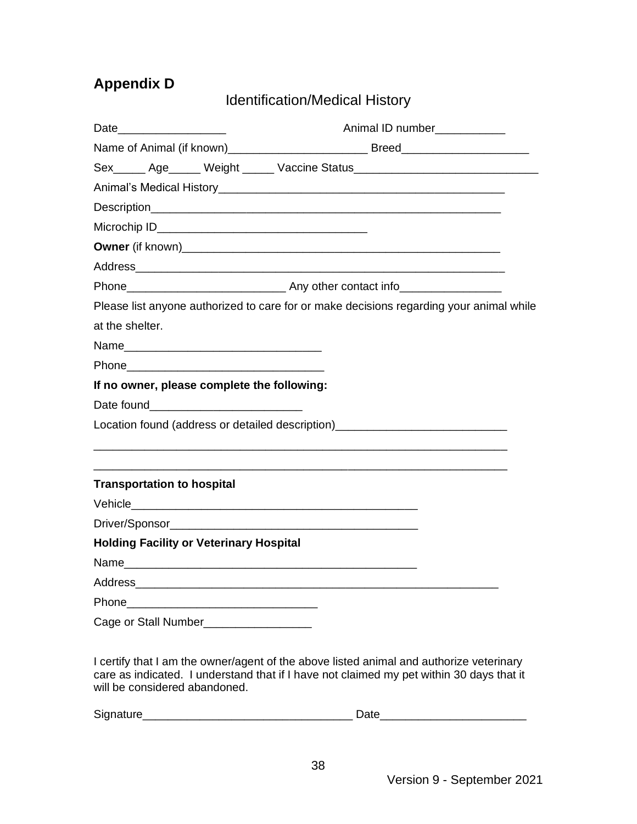### **Appendix D**

Identification/Medical History

| Date            |                                                | Animal ID number___________                                                                                                                                                                                                     |  |  |
|-----------------|------------------------------------------------|---------------------------------------------------------------------------------------------------------------------------------------------------------------------------------------------------------------------------------|--|--|
|                 |                                                |                                                                                                                                                                                                                                 |  |  |
|                 |                                                | Sex______ Age______ Weight ______ Vaccine Status________________________________                                                                                                                                                |  |  |
|                 |                                                |                                                                                                                                                                                                                                 |  |  |
|                 |                                                |                                                                                                                                                                                                                                 |  |  |
|                 |                                                |                                                                                                                                                                                                                                 |  |  |
|                 |                                                |                                                                                                                                                                                                                                 |  |  |
|                 |                                                |                                                                                                                                                                                                                                 |  |  |
|                 |                                                |                                                                                                                                                                                                                                 |  |  |
|                 |                                                | Please list anyone authorized to care for or make decisions regarding your animal while                                                                                                                                         |  |  |
| at the shelter. |                                                |                                                                                                                                                                                                                                 |  |  |
|                 |                                                |                                                                                                                                                                                                                                 |  |  |
|                 |                                                |                                                                                                                                                                                                                                 |  |  |
|                 | If no owner, please complete the following:    |                                                                                                                                                                                                                                 |  |  |
|                 |                                                |                                                                                                                                                                                                                                 |  |  |
|                 |                                                | Location found (address or detailed description)<br>example and the contract of the contract of the contract of the contract of the contract of the contract of the contract of the contract of the contract of the contract of |  |  |
|                 |                                                |                                                                                                                                                                                                                                 |  |  |
|                 | <b>Transportation to hospital</b>              |                                                                                                                                                                                                                                 |  |  |
|                 |                                                |                                                                                                                                                                                                                                 |  |  |
|                 |                                                |                                                                                                                                                                                                                                 |  |  |
|                 | <b>Holding Facility or Veterinary Hospital</b> |                                                                                                                                                                                                                                 |  |  |
|                 |                                                |                                                                                                                                                                                                                                 |  |  |
|                 |                                                |                                                                                                                                                                                                                                 |  |  |
|                 |                                                |                                                                                                                                                                                                                                 |  |  |
|                 | Cage or Stall Number__________________         |                                                                                                                                                                                                                                 |  |  |

I certify that I am the owner/agent of the above listed animal and authorize veterinary care as indicated. I understand that if I have not claimed my pet within 30 days that it will be considered abandoned.

| Signature | -- |
|-----------|----|
|           |    |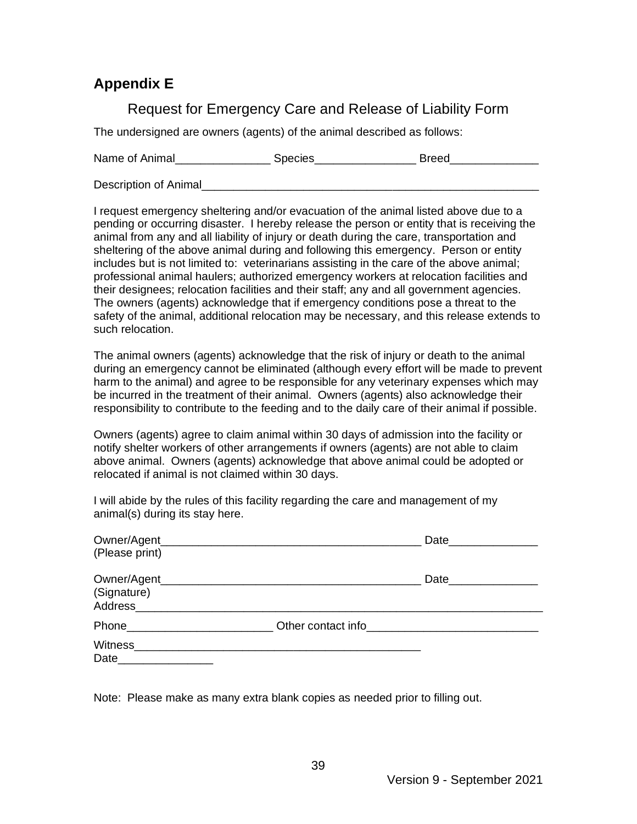#### **Appendix E**

#### Request for Emergency Care and Release of Liability Form

The undersigned are owners (agents) of the animal described as follows:

Name of Animal The Species The Species The Breed

Description of Animal

I request emergency sheltering and/or evacuation of the animal listed above due to a pending or occurring disaster. I hereby release the person or entity that is receiving the animal from any and all liability of injury or death during the care, transportation and sheltering of the above animal during and following this emergency. Person or entity includes but is not limited to: veterinarians assisting in the care of the above animal; professional animal haulers; authorized emergency workers at relocation facilities and their designees; relocation facilities and their staff; any and all government agencies. The owners (agents) acknowledge that if emergency conditions pose a threat to the safety of the animal, additional relocation may be necessary, and this release extends to such relocation.

The animal owners (agents) acknowledge that the risk of injury or death to the animal during an emergency cannot be eliminated (although every effort will be made to prevent harm to the animal) and agree to be responsible for any veterinary expenses which may be incurred in the treatment of their animal. Owners (agents) also acknowledge their responsibility to contribute to the feeding and to the daily care of their animal if possible.

Owners (agents) agree to claim animal within 30 days of admission into the facility or notify shelter workers of other arrangements if owners (agents) are not able to claim above animal. Owners (agents) acknowledge that above animal could be adopted or relocated if animal is not claimed within 30 days.

I will abide by the rules of this facility regarding the care and management of my animal(s) during its stay here.

| Owner/Agent_<br>(Please print)                   |                    | Date                |  |
|--------------------------------------------------|--------------------|---------------------|--|
| Owner/Agent_<br>(Signature)<br>Address__________ |                    | Date_______________ |  |
| Phone__________                                  | Other contact info |                     |  |
| Witness<br>Date                                  |                    |                     |  |

Note: Please make as many extra blank copies as needed prior to filling out.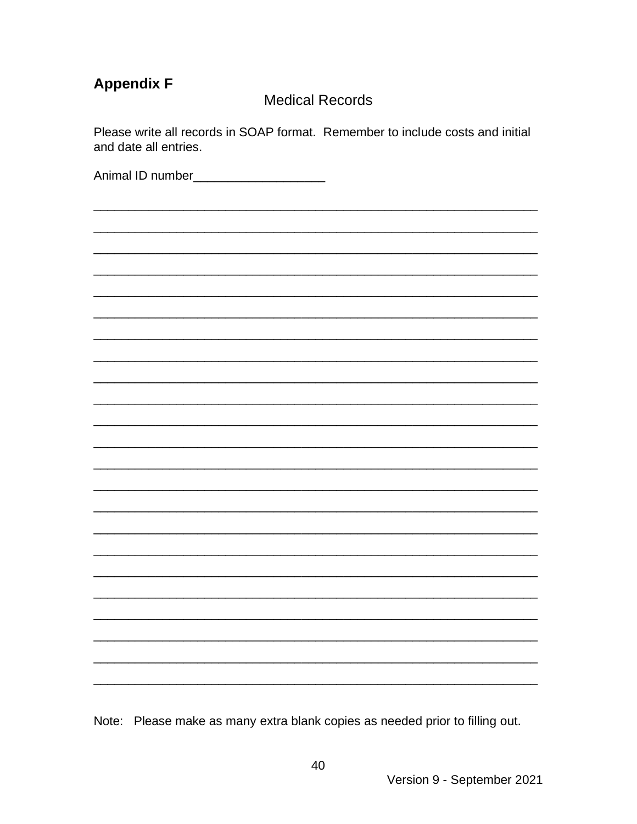### **Appendix F**

#### **Medical Records**

Please write all records in SOAP format. Remember to include costs and initial and date all entries.

Animal ID number\_\_\_\_\_\_\_\_\_\_\_\_\_\_\_\_\_\_\_\_\_\_

Note: Please make as many extra blank copies as needed prior to filling out.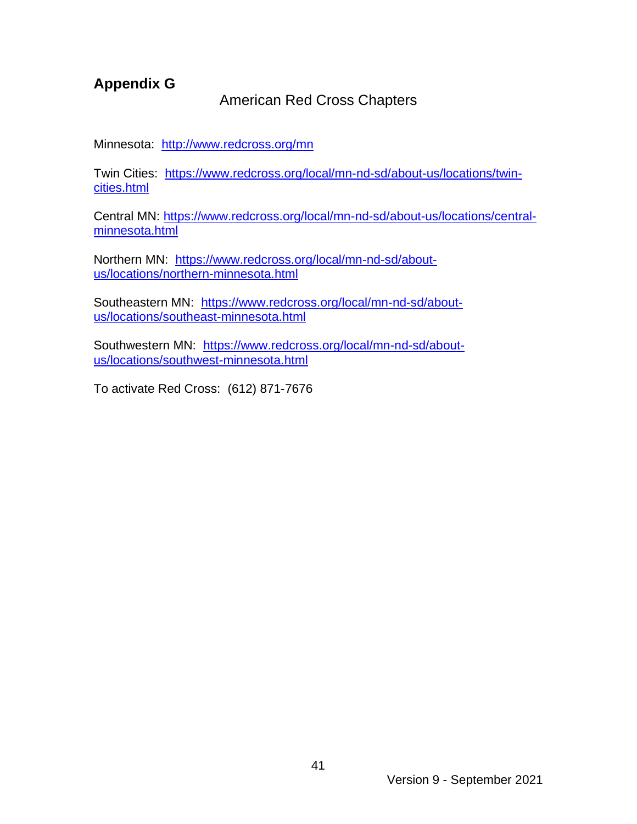#### **Appendix G**

#### American Red Cross Chapters

Minnesota:<http://www.redcross.org/mn>

Twin Cities: [https://www.redcross.org/local/mn-nd-sd/about-us/locations/twin](https://www.redcross.org/local/mn-nd-sd/about-us/locations/twin-cities.html)[cities.html](https://www.redcross.org/local/mn-nd-sd/about-us/locations/twin-cities.html)

Central MN: [https://www.redcross.org/local/mn-nd-sd/about-us/locations/central](https://www.redcross.org/local/mn-nd-sd/about-us/locations/central-minnesota.html)[minnesota.html](https://www.redcross.org/local/mn-nd-sd/about-us/locations/central-minnesota.html)

Northern MN: [https://www.redcross.org/local/mn-nd-sd/about](https://www.redcross.org/local/mn-nd-sd/about-us/locations/northern-minnesota.html)[us/locations/northern-minnesota.html](https://www.redcross.org/local/mn-nd-sd/about-us/locations/northern-minnesota.html)

Southeastern MN: [https://www.redcross.org/local/mn-nd-sd/about](https://www.redcross.org/local/mn-nd-sd/about-us/locations/southeast-minnesota.html)[us/locations/southeast-minnesota.html](https://www.redcross.org/local/mn-nd-sd/about-us/locations/southeast-minnesota.html)

Southwestern MN: [https://www.redcross.org/local/mn-nd-sd/about](https://www.redcross.org/local/mn-nd-sd/about-us/locations/southwest-minnesota.html)[us/locations/southwest-minnesota.html](https://www.redcross.org/local/mn-nd-sd/about-us/locations/southwest-minnesota.html)

To activate Red Cross: (612) 871-7676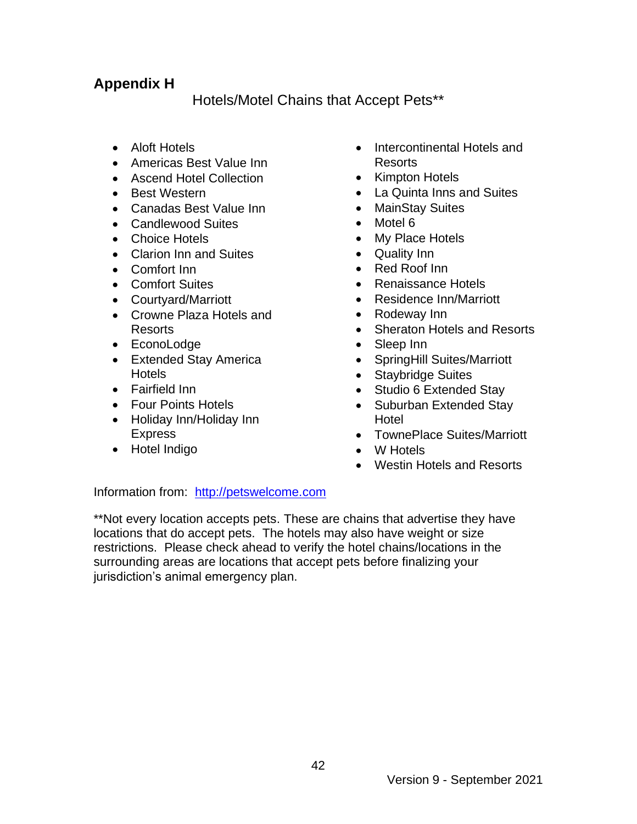#### **Appendix H**

Hotels/Motel Chains that Accept Pets\*\*

- Aloft Hotels
- Americas Best Value Inn
- Ascend Hotel Collection
- Best Western
- Canadas Best Value Inn
- Candlewood Suites
- Choice Hotels
- Clarion Inn and Suites
- Comfort Inn
- Comfort Suites
- Courtyard/Marriott
- Crowne Plaza Hotels and Resorts
- EconoLodge
- Extended Stay America **Hotels**
- Fairfield Inn
- Four Points Hotels
- Holiday Inn/Holiday Inn Express
- Hotel Indigo
- Intercontinental Hotels and Resorts
- Kimpton Hotels
- La Quinta Inns and Suites
- MainStay Suites
- Motel 6
- My Place Hotels
- Quality Inn
- Red Roof Inn
- Renaissance Hotels
- Residence Inn/Marriott
- Rodeway Inn
- Sheraton Hotels and Resorts
- Sleep Inn
- SpringHill Suites/Marriott
- Staybridge Suites
- Studio 6 Extended Stay
- Suburban Extended Stay Hotel
- TownePlace Suites/Marriott
- W Hotels
- Westin Hotels and Resorts

Information from: [http://petswelcome.com](http://petswelcome.com/)

\*\*Not every location accepts pets. These are chains that advertise they have locations that do accept pets. The hotels may also have weight or size restrictions. Please check ahead to verify the hotel chains/locations in the surrounding areas are locations that accept pets before finalizing your jurisdiction's animal emergency plan.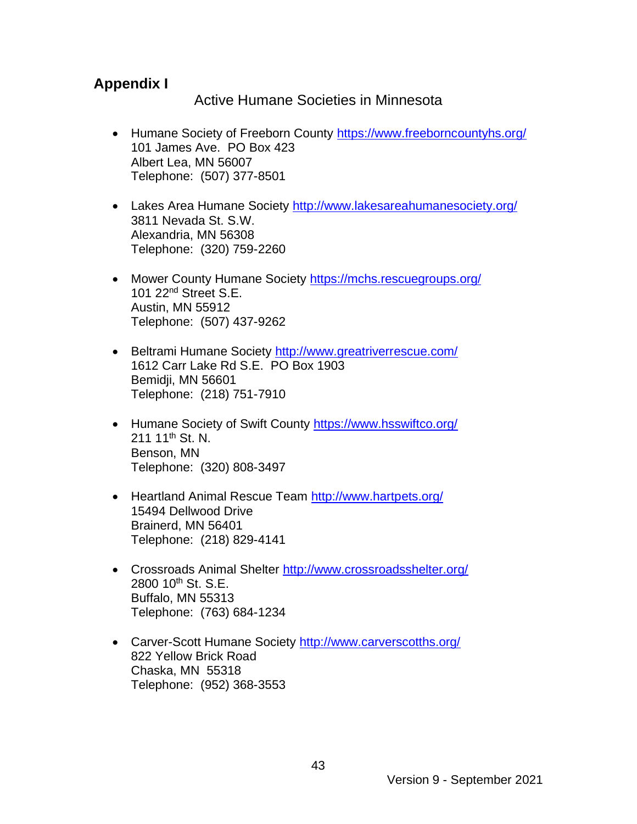#### **Appendix I**

Active Humane Societies in Minnesota

- Humane Society of Freeborn County <https://www.freeborncountyhs.org/> 101 James Ave. PO Box 423 Albert Lea, MN 56007 Telephone: (507) 377-8501
- Lakes Area Humane Society<http://www.lakesareahumanesociety.org/> 3811 Nevada St. S.W. Alexandria, MN 56308 Telephone: (320) 759-2260
- Mower County Humane Society https://mchs.rescuegroups.org/ 101 22nd Street S.E. Austin, MN 55912 Telephone: (507) 437-9262
- Beltrami Humane Society<http://www.greatriverrescue.com/> 1612 Carr Lake Rd S.E. PO Box 1903 Bemidji, MN 56601 Telephone: (218) 751-7910
- Humane Society of Swift County <https://www.hsswiftco.org/> 211 11<sup>th</sup> St. N. Benson, MN Telephone: (320) 808-3497
- Heartland Animal Rescue Team <http://www.hartpets.org/> 15494 Dellwood Drive Brainerd, MN 56401 Telephone: (218) 829-4141
- Crossroads Animal Shelter<http://www.crossroadsshelter.org/> 2800 10<sup>th</sup> St. S.E. Buffalo, MN 55313 Telephone: (763) 684-1234
- Carver-Scott Humane Society <http://www.carverscotths.org/> 822 Yellow Brick Road Chaska, MN 55318 Telephone: (952) 368-3553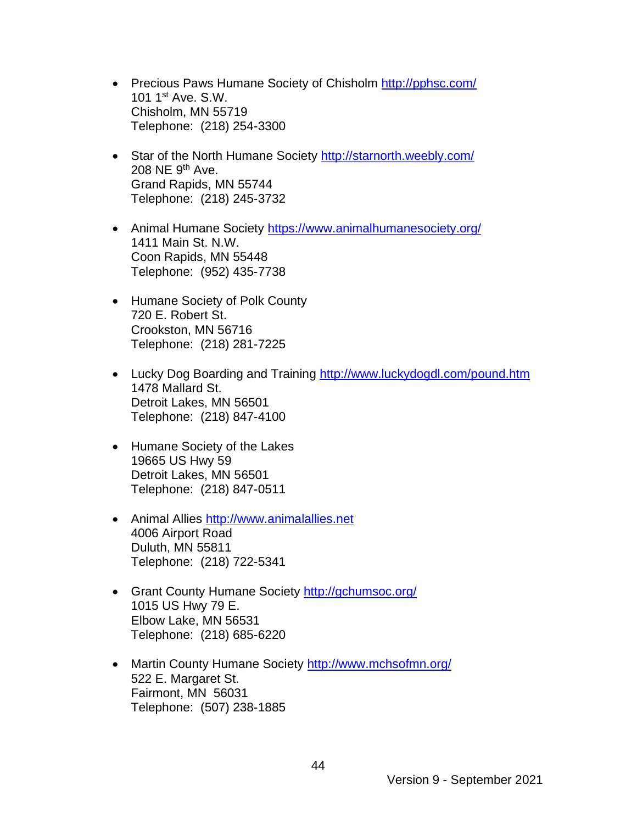- Precious Paws Humane Society of Chisholm http://pphsc.com/ 101 1st Ave. S.W. Chisholm, MN 55719 Telephone: (218) 254-3300
- Star of the North Humane Society<http://starnorth.weebly.com/> 208 NE 9<sup>th</sup> Ave. Grand Rapids, MN 55744 Telephone: (218) 245-3732
- Animal Humane Society https://www.animalhumanesociety.org/ 1411 Main St. N.W. Coon Rapids, MN 55448 Telephone: (952) 435-7738
- Humane Society of Polk County 720 E. Robert St. Crookston, MN 56716 Telephone: (218) 281-7225
- Lucky Dog Boarding and Training<http://www.luckydogdl.com/pound.htm> 1478 Mallard St. Detroit Lakes, MN 56501 Telephone: (218) 847-4100
- Humane Society of the Lakes 19665 US Hwy 59 Detroit Lakes, MN 56501 Telephone: (218) 847-0511
- Animal Allies http://www.animalallies.net 4006 Airport Road Duluth, MN 55811 Telephone: (218) 722-5341
- Grant County Humane Society <http://gchumsoc.org/> 1015 US Hwy 79 E. Elbow Lake, MN 56531 Telephone: (218) 685-6220
- Martin County Humane Society <http://www.mchsofmn.org/> 522 E. Margaret St. Fairmont, MN 56031 Telephone: (507) 238-1885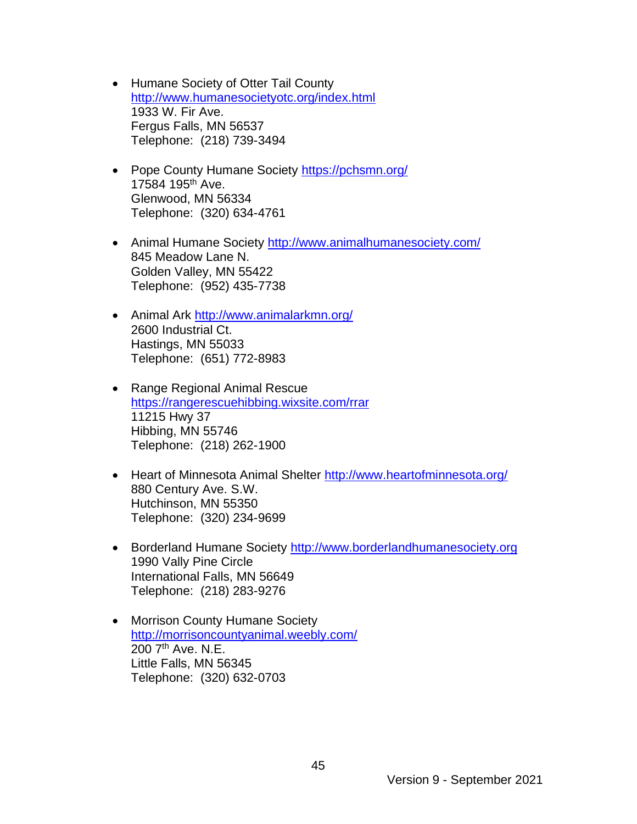- Humane Society of Otter Tail County <http://www.humanesocietyotc.org/index.html> 1933 W. Fir Ave. Fergus Falls, MN 56537 Telephone: (218) 739-3494
- Pope County Humane Society https://pchsmn.org/ 17584 195th Ave. Glenwood, MN 56334 Telephone: (320) 634-4761
- Animal Humane Society<http://www.animalhumanesociety.com/> 845 Meadow Lane N. Golden Valley, MN 55422 Telephone: (952) 435-7738
- Animal Ark <http://www.animalarkmn.org/> 2600 Industrial Ct. Hastings, MN 55033 Telephone: (651) 772-8983
- Range Regional Animal Rescue <https://rangerescuehibbing.wixsite.com/rrar> 11215 Hwy 37 Hibbing, MN 55746 Telephone: (218) 262-1900
- Heart of Minnesota Animal Shelter http://www.heartofminnesota.org/ 880 Century Ave. S.W. Hutchinson, MN 55350 Telephone: (320) 234-9699
- Borderland Humane Society [http://www.borderlandhumanesociety.org](http://www.borderlandhumanesociety.org/) 1990 Vally Pine Circle International Falls, MN 56649 Telephone: (218) 283-9276
- Morrison County Humane Society <http://morrisoncountyanimal.weebly.com/> 200 7<sup>th</sup> Ave. N.E. Little Falls, MN 56345 Telephone: (320) 632-0703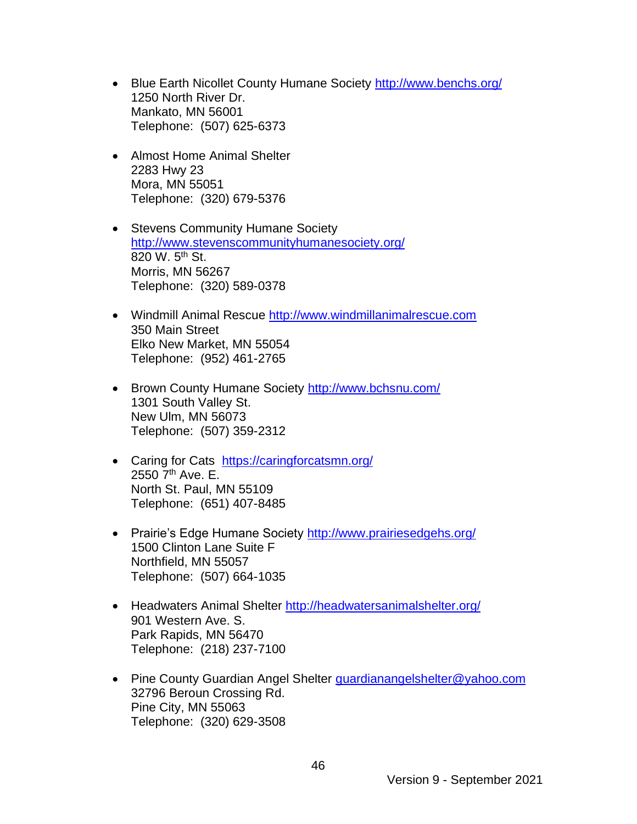- Blue Earth Nicollet County Humane Society http://www.benchs.org/ 1250 North River Dr. Mankato, MN 56001 Telephone: (507) 625-6373
- Almost Home Animal Shelter 2283 Hwy 23 Mora, MN 55051 Telephone: (320) 679-5376
- Stevens Community Humane Society <http://www.stevenscommunityhumanesociety.org/> 820 W. 5<sup>th</sup> St. Morris, MN 56267 Telephone: (320) 589-0378
- Windmill Animal Rescue [http://www.windmillanimalrescue.com](http://www.windmillanimalrescue.com/) 350 Main Street Elko New Market, MN 55054 Telephone: (952) 461-2765
- Brown County Humane Society <http://www.bchsnu.com/> 1301 South Valley St. New Ulm, MN 56073 Telephone: (507) 359-2312
- Caring for Cats <https://caringforcatsmn.org/> 2550  $7<sup>th</sup>$  Ave. E. North St. Paul, MN 55109 Telephone: (651) 407-8485
- Prairie's Edge Humane Society http://www.prairiesedgehs.org/ 1500 Clinton Lane Suite F Northfield, MN 55057 Telephone: (507) 664-1035
- Headwaters Animal Shelter <http://headwatersanimalshelter.org/> 901 Western Ave. S. Park Rapids, MN 56470 Telephone: (218) 237-7100
- Pine County Guardian Angel Shelter *guardianangelshelter@yahoo.com* 32796 Beroun Crossing Rd. Pine City, MN 55063 Telephone: (320) 629-3508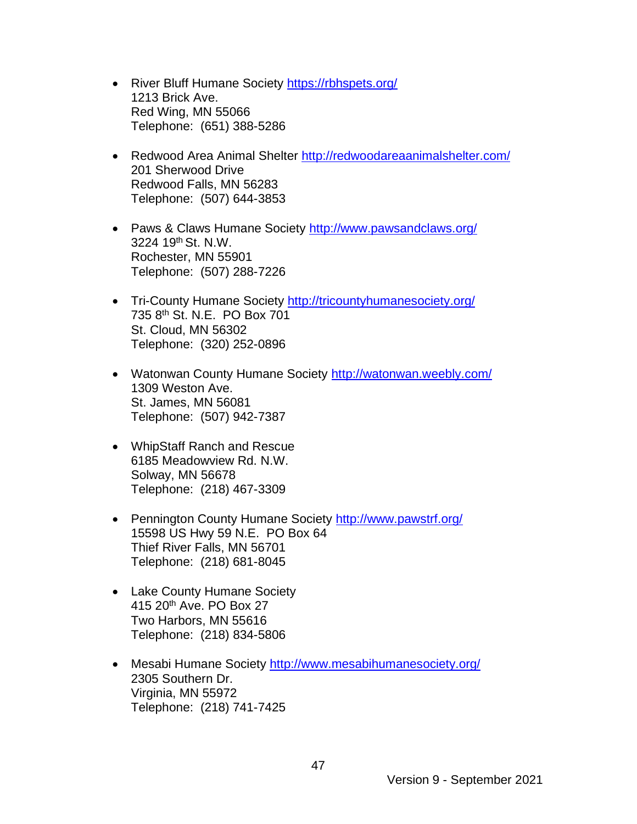- River Bluff Humane Society https://rbhspets.org/ 1213 Brick Ave. Red Wing, MN 55066 Telephone: (651) 388-5286
- Redwood Area Animal Shelter <http://redwoodareaanimalshelter.com/> 201 Sherwood Drive Redwood Falls, MN 56283 Telephone: (507) 644-3853
- Paws & Claws Humane Society http://www.pawsandclaws.org/ 3224 19th St. N.W. Rochester, MN 55901 Telephone: (507) 288-7226
- Tri-County Humane Society <http://tricountyhumanesociety.org/> 735 8th St. N.E. PO Box 701 St. Cloud, MN 56302 Telephone: (320) 252-0896
- Watonwan County Humane Society <http://watonwan.weebly.com/> 1309 Weston Ave. St. James, MN 56081 Telephone: (507) 942-7387
- WhipStaff Ranch and Rescue 6185 Meadowview Rd. N.W. Solway, MN 56678 Telephone: (218) 467-3309
- Pennington County Humane Society <http://www.pawstrf.org/> 15598 US Hwy 59 N.E. PO Box 64 Thief River Falls, MN 56701 Telephone: (218) 681-8045
- Lake County Humane Society 415 20<sup>th</sup> Ave. PO Box 27 Two Harbors, MN 55616 Telephone: (218) 834-5806
- Mesabi Humane Society<http://www.mesabihumanesociety.org/> 2305 Southern Dr. Virginia, MN 55972 Telephone: (218) 741-7425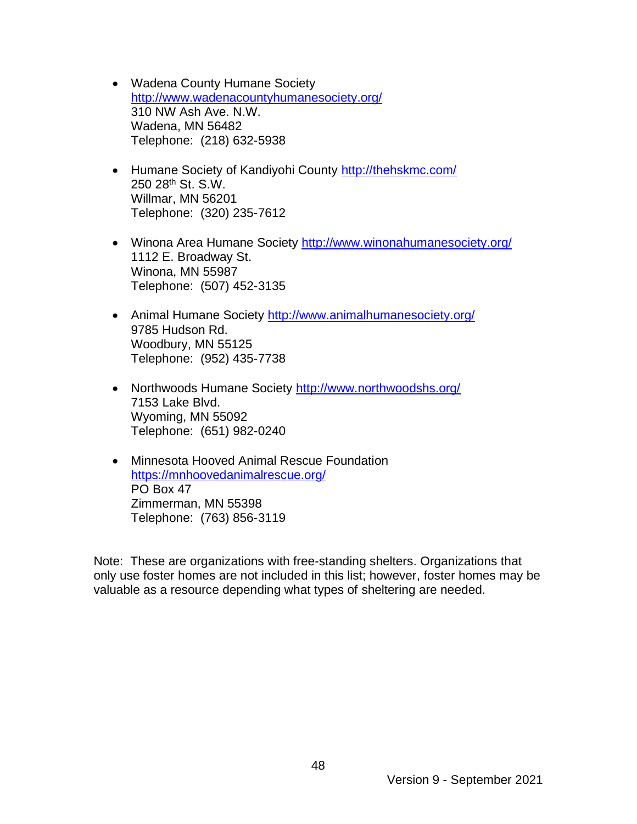- Wadena County Humane Society <http://www.wadenacountyhumanesociety.org/> 310 NW Ash Ave. N.W. Wadena, MN 56482 Telephone: (218) 632-5938
- Humane Society of Kandiyohi County http://thehskmc.com/ 250 28th St. S.W. Willmar, MN 56201 Telephone: (320) 235-7612
- Winona Area Humane Society <http://www.winonahumanesociety.org/> 1112 E. Broadway St. Winona, MN 55987 Telephone: (507) 452-3135
- Animal Humane Society<http://www.animalhumanesociety.org/> 9785 Hudson Rd. Woodbury, MN 55125 Telephone: (952) 435-7738
- Northwoods Humane Society<http://www.northwoodshs.org/> 7153 Lake Blvd. Wyoming, MN 55092 Telephone: (651) 982-0240
- Minnesota Hooved Animal Rescue Foundation <https://mnhoovedanimalrescue.org/> PO Box 47 Zimmerman, MN 55398 Telephone: (763) 856-3119

Note: These are organizations with free-standing shelters. Organizations that only use foster homes are not included in this list; however, foster homes may be valuable as a resource depending what types of sheltering are needed.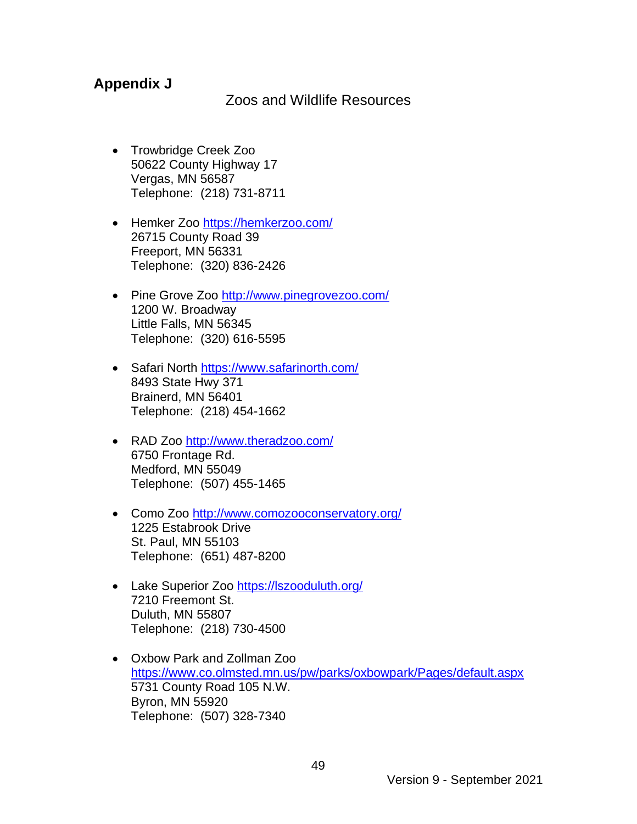#### **Appendix J**

Zoos and Wildlife Resources

- Trowbridge Creek Zoo 50622 County Highway 17 Vergas, MN 56587 Telephone: (218) 731-8711
- Hemker Zoo <https://hemkerzoo.com/> [26715 County Road 39](https://www.bing.com/maps?&ty=18&q=Hemker%20Park%20%26%20Zoo&satid=id.sid%3a25df7eae-b0b7-3fc1-2fd0-311bfb5f8ad5&ppois=45.67181396484375_-94.66928100585938_Hemker%20Park%20%26%20Zoo_~&cp=45.671814~-94.669281&v=2&sV=1)  [Freeport, MN 56331](https://www.bing.com/maps?&ty=18&q=Hemker%20Park%20%26%20Zoo&satid=id.sid%3a25df7eae-b0b7-3fc1-2fd0-311bfb5f8ad5&ppois=45.67181396484375_-94.66928100585938_Hemker%20Park%20%26%20Zoo_~&cp=45.671814~-94.669281&v=2&sV=1) Telephone: (320) 836-2426
- Pine Grove Zoo <http://www.pinegrovezoo.com/> 1200 W. [Broadway](https://www.bing.com/maps?&ty=18&q=Pine%20Grove%20Zoo&satid=id.sid%3ac18366cf-f51d-46dd-a6d9-2e277b98cf4d&ppois=45.97694778442383_-94.38412475585938_Pine%20Grove%20Zoo_~&cp=45.976948~-94.384125&v=2&sV=1)  [Little Falls, MN 56345](https://www.bing.com/maps?&ty=18&q=Pine%20Grove%20Zoo&satid=id.sid%3ac18366cf-f51d-46dd-a6d9-2e277b98cf4d&ppois=45.97694778442383_-94.38412475585938_Pine%20Grove%20Zoo_~&cp=45.976948~-94.384125&v=2&sV=1) Telephone: (320) 616-5595
- Safari North <https://www.safarinorth.com/> 8493 State Hwy 371 Brainerd, MN 56401 Telephone: (218) 454-1662
- RAD Zoo <http://www.theradzoo.com/> 6750 Frontage Rd. Medford, MN 55049 Telephone: (507) 455-1465
- Como Zoo <http://www.comozooconservatory.org/> 1225 Estabrook Drive St. Paul, MN 55103 Telephone: (651) 487-8200
- Lake Superior Zoo <https://lszooduluth.org/> 7210 Freemont St. Duluth, MN 55807 Telephone: (218) 730-4500
- Oxbow Park and Zollman Zoo <https://www.co.olmsted.mn.us/pw/parks/oxbowpark/Pages/default.aspx> 5731 County Road 105 N.W. Byron, MN 55920 Telephone: (507) 328-7340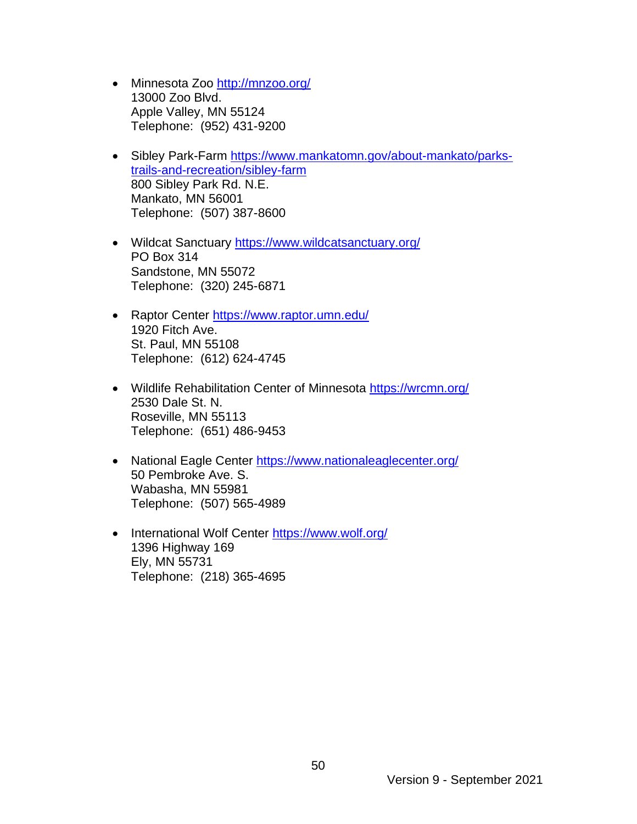- Minnesota Zoo <http://mnzoo.org/> 13000 Zoo Blvd. Apple Valley, MN 55124 Telephone: (952) 431-9200
- Sibley Park-Farm [https://www.mankatomn.gov/about-mankato/parks](https://www.mankatomn.gov/about-mankato/parks-trails-and-recreation/sibley-farm)[trails-and-recreation/sibley-farm](https://www.mankatomn.gov/about-mankato/parks-trails-and-recreation/sibley-farm) 800 Sibley Park Rd. N.E. Mankato, MN 56001 Telephone: (507) 387-8600
- Wildcat Sanctuary <https://www.wildcatsanctuary.org/> PO Box 314 Sandstone, MN 55072 Telephone: (320) 245-6871
- Raptor Center<https://www.raptor.umn.edu/> 1920 Fitch Ave. St. Paul, MN 55108 Telephone: (612) 624-4745
- Wildlife Rehabilitation Center of Minnesota<https://wrcmn.org/> 2530 Dale St. N. Roseville, MN 55113 Telephone: (651) 486-9453
- National Eagle Center <https://www.nationaleaglecenter.org/> 50 Pembroke Ave. S. Wabasha, MN 55981 Telephone: (507) 565-4989
- International Wolf Center <https://www.wolf.org/> 1396 Highway 169 Ely, MN 55731 Telephone: (218) 365-4695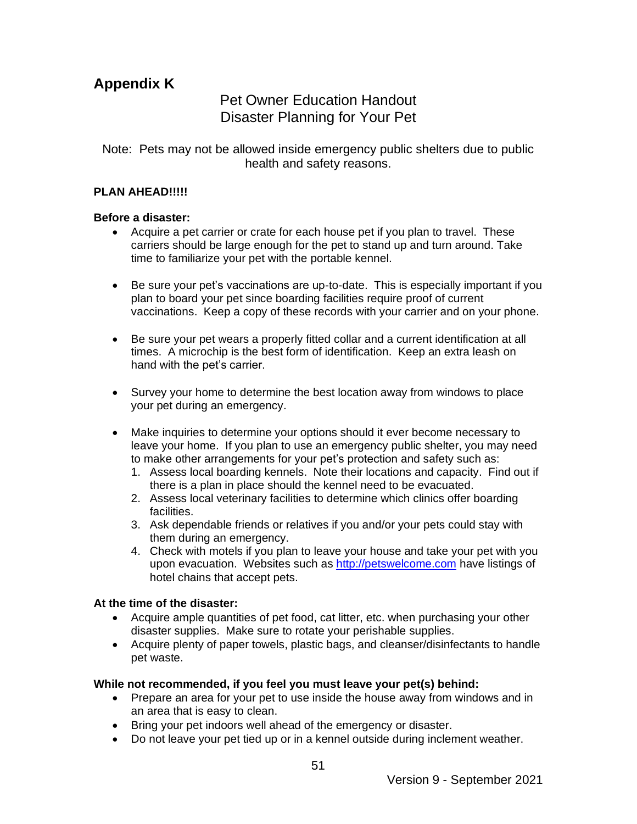#### **Appendix K**

#### Pet Owner Education Handout Disaster Planning for Your Pet

Note: Pets may not be allowed inside emergency public shelters due to public health and safety reasons.

#### **PLAN AHEAD!!!!!**

#### **Before a disaster:**

- Acquire a pet carrier or crate for each house pet if you plan to travel. These carriers should be large enough for the pet to stand up and turn around. Take time to familiarize your pet with the portable kennel.
- Be sure your pet's vaccinations are up-to-date. This is especially important if you plan to board your pet since boarding facilities require proof of current vaccinations. Keep a copy of these records with your carrier and on your phone.
- Be sure your pet wears a properly fitted collar and a current identification at all times. A microchip is the best form of identification. Keep an extra leash on hand with the pet's carrier.
- Survey your home to determine the best location away from windows to place your pet during an emergency.
- Make inquiries to determine your options should it ever become necessary to leave your home. If you plan to use an emergency public shelter, you may need to make other arrangements for your pet's protection and safety such as:
	- 1. Assess local boarding kennels. Note their locations and capacity. Find out if there is a plan in place should the kennel need to be evacuated.
	- 2. Assess local veterinary facilities to determine which clinics offer boarding facilities.
	- 3. Ask dependable friends or relatives if you and/or your pets could stay with them during an emergency.
	- 4. Check with motels if you plan to leave your house and take your pet with you upon evacuation. Websites such as [http://petswelcome.com](http://petswelcome.com/) have listings of hotel chains that accept pets.

#### **At the time of the disaster:**

- Acquire ample quantities of pet food, cat litter, etc. when purchasing your other disaster supplies. Make sure to rotate your perishable supplies.
- Acquire plenty of paper towels, plastic bags, and cleanser/disinfectants to handle pet waste.

#### **While not recommended, if you feel you must leave your pet(s) behind:**

- Prepare an area for your pet to use inside the house away from windows and in an area that is easy to clean.
- Bring your pet indoors well ahead of the emergency or disaster.
- Do not leave your pet tied up or in a kennel outside during inclement weather.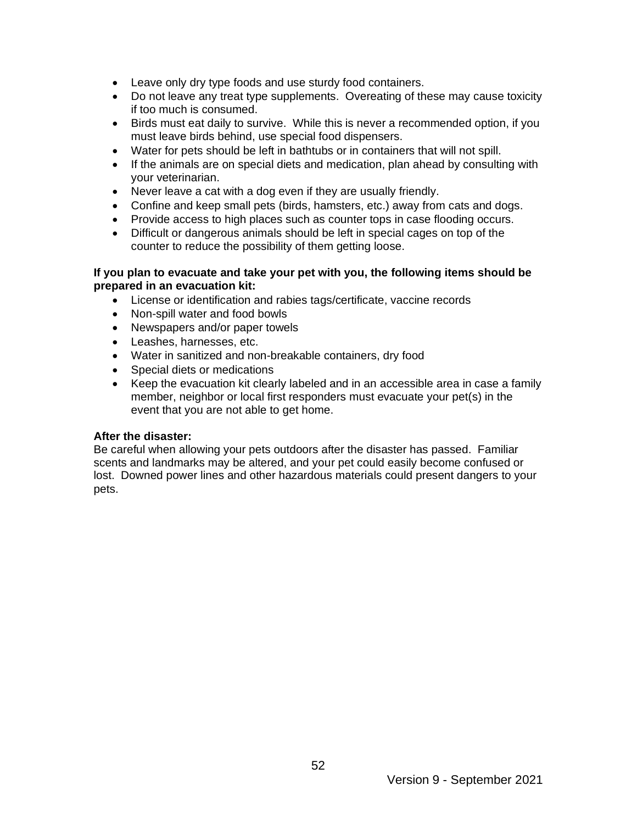- Leave only dry type foods and use sturdy food containers.
- Do not leave any treat type supplements. Overeating of these may cause toxicity if too much is consumed.
- Birds must eat daily to survive. While this is never a recommended option, if you must leave birds behind, use special food dispensers.
- Water for pets should be left in bathtubs or in containers that will not spill.
- If the animals are on special diets and medication, plan ahead by consulting with your veterinarian.
- Never leave a cat with a dog even if they are usually friendly.
- Confine and keep small pets (birds, hamsters, etc.) away from cats and dogs.
- Provide access to high places such as counter tops in case flooding occurs.
- Difficult or dangerous animals should be left in special cages on top of the counter to reduce the possibility of them getting loose.

#### **If you plan to evacuate and take your pet with you, the following items should be prepared in an evacuation kit:**

- License or identification and rabies tags/certificate, vaccine records
- Non-spill water and food bowls
- Newspapers and/or paper towels
- Leashes, harnesses, etc.
- Water in sanitized and non-breakable containers, dry food
- Special diets or medications
- Keep the evacuation kit clearly labeled and in an accessible area in case a family member, neighbor or local first responders must evacuate your pet(s) in the event that you are not able to get home.

#### **After the disaster:**

Be careful when allowing your pets outdoors after the disaster has passed. Familiar scents and landmarks may be altered, and your pet could easily become confused or lost. Downed power lines and other hazardous materials could present dangers to your pets.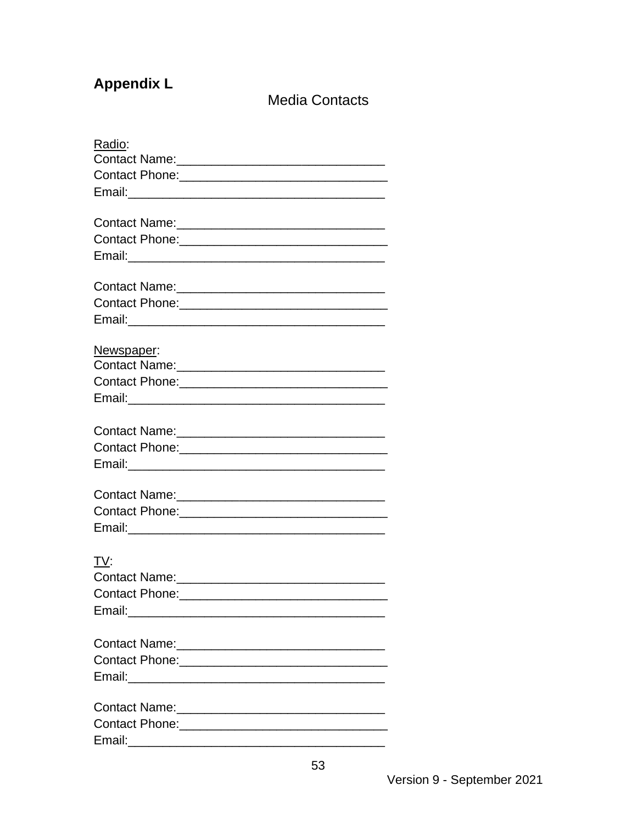### **Appendix L**

**Media Contacts** 

| Radio:                           |
|----------------------------------|
|                                  |
|                                  |
|                                  |
|                                  |
|                                  |
|                                  |
|                                  |
| Newspaper:                       |
| Contact Name: 2008 Contact Name: |
|                                  |
|                                  |
|                                  |
|                                  |
|                                  |
|                                  |
|                                  |
|                                  |
|                                  |
| TV:                              |
|                                  |
| <b>Contact Phone:</b>            |
|                                  |
|                                  |
|                                  |
|                                  |
|                                  |
|                                  |
|                                  |
|                                  |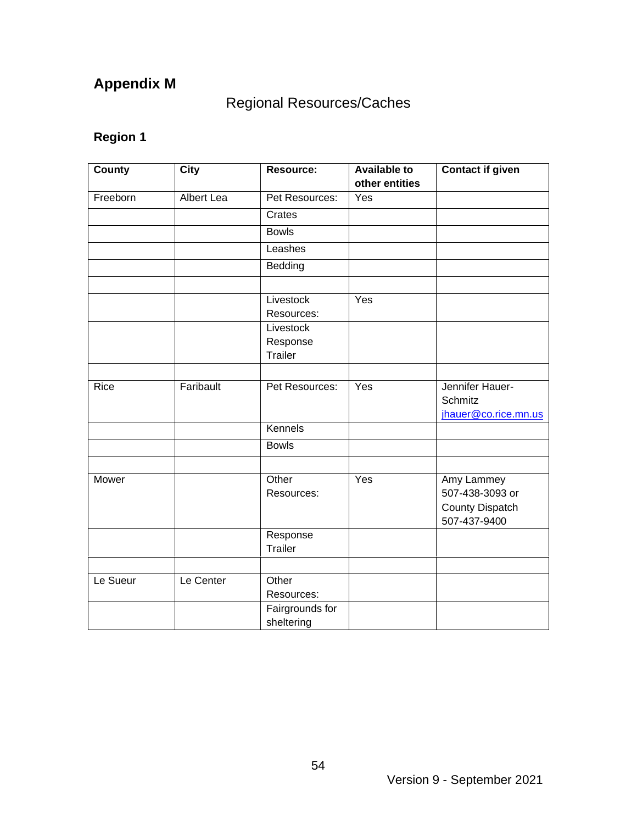## **Appendix M**

## Regional Resources/Caches

| County   | <b>City</b>       | <b>Resource:</b>        | <b>Available to</b> | <b>Contact if given</b> |
|----------|-------------------|-------------------------|---------------------|-------------------------|
|          |                   |                         | other entities      |                         |
| Freeborn | <b>Albert Lea</b> | Pet Resources:          | Yes                 |                         |
|          |                   | Crates                  |                     |                         |
|          |                   | <b>Bowls</b>            |                     |                         |
|          |                   | Leashes                 |                     |                         |
|          |                   | Bedding                 |                     |                         |
|          |                   |                         |                     |                         |
|          |                   | Livestock               | Yes                 |                         |
|          |                   | Resources:<br>Livestock |                     |                         |
|          |                   | Response                |                     |                         |
|          |                   | <b>Trailer</b>          |                     |                         |
|          |                   |                         |                     |                         |
| Rice     | Faribault         | Pet Resources:          | Yes                 | Jennifer Hauer-         |
|          |                   |                         |                     | <b>Schmitz</b>          |
|          |                   |                         |                     | jhauer@co.rice.mn.us    |
|          |                   | Kennels                 |                     |                         |
|          |                   | <b>Bowls</b>            |                     |                         |
|          |                   |                         |                     |                         |
| Mower    |                   | Other                   | Yes                 | Amy Lammey              |
|          |                   | Resources:              |                     | 507-438-3093 or         |
|          |                   |                         |                     | <b>County Dispatch</b>  |
|          |                   |                         |                     | 507-437-9400            |
|          |                   | Response                |                     |                         |
|          |                   | <b>Trailer</b>          |                     |                         |
|          |                   |                         |                     |                         |
| Le Sueur | Le Center         | Other                   |                     |                         |
|          |                   | Resources:              |                     |                         |
|          |                   | Fairgrounds for         |                     |                         |
|          |                   | sheltering              |                     |                         |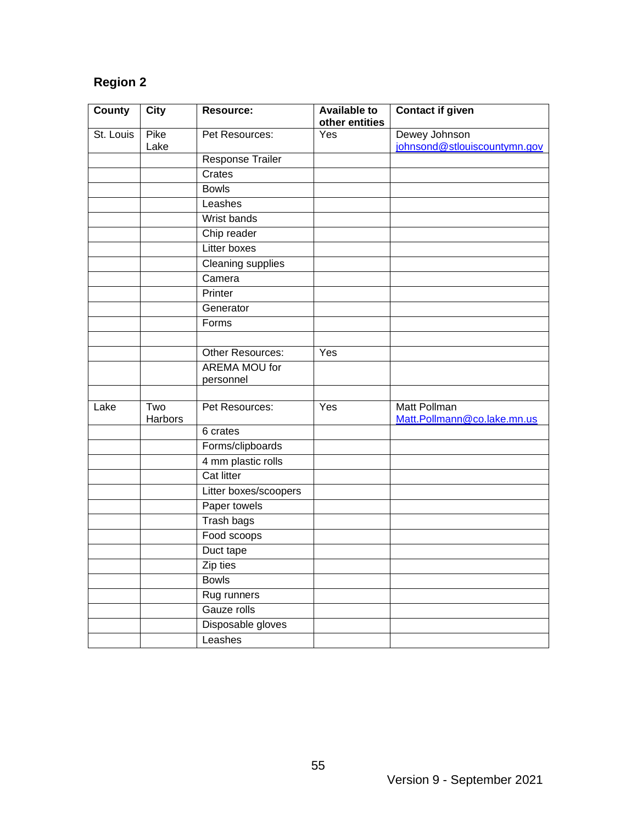| County    | <b>City</b>    | <b>Resource:</b>      | <b>Available to</b><br>other entities | <b>Contact if given</b>                     |
|-----------|----------------|-----------------------|---------------------------------------|---------------------------------------------|
| St. Louis | Pike           | Pet Resources:        | Yes                                   | Dewey Johnson                               |
|           | Lake           |                       |                                       | johnsond@stlouiscountymn.gov                |
|           |                | Response Trailer      |                                       |                                             |
|           |                | Crates                |                                       |                                             |
|           |                | <b>Bowls</b>          |                                       |                                             |
|           |                | Leashes               |                                       |                                             |
|           |                | Wrist bands           |                                       |                                             |
|           |                | Chip reader           |                                       |                                             |
|           |                | Litter boxes          |                                       |                                             |
|           |                | Cleaning supplies     |                                       |                                             |
|           |                | Camera                |                                       |                                             |
|           |                | Printer               |                                       |                                             |
|           |                | Generator             |                                       |                                             |
|           |                | Forms                 |                                       |                                             |
|           |                |                       |                                       |                                             |
|           |                | Other Resources:      | Yes                                   |                                             |
|           |                | <b>AREMA MOU for</b>  |                                       |                                             |
|           |                | personnel             |                                       |                                             |
| Lake      | Two<br>Harbors | Pet Resources:        | Yes                                   | Matt Pollman<br>Matt.Pollmann@co.lake.mn.us |
|           |                | 6 crates              |                                       |                                             |
|           |                | Forms/clipboards      |                                       |                                             |
|           |                | 4 mm plastic rolls    |                                       |                                             |
|           |                | Cat litter            |                                       |                                             |
|           |                | Litter boxes/scoopers |                                       |                                             |
|           |                | Paper towels          |                                       |                                             |
|           |                | Trash bags            |                                       |                                             |
|           |                | Food scoops           |                                       |                                             |
|           |                | Duct tape             |                                       |                                             |
|           |                | Zip ties              |                                       |                                             |
|           |                | <b>Bowls</b>          |                                       |                                             |
|           |                | Rug runners           |                                       |                                             |
|           |                | Gauze rolls           |                                       |                                             |
|           |                | Disposable gloves     |                                       |                                             |
|           |                | Leashes               |                                       |                                             |
|           |                |                       |                                       |                                             |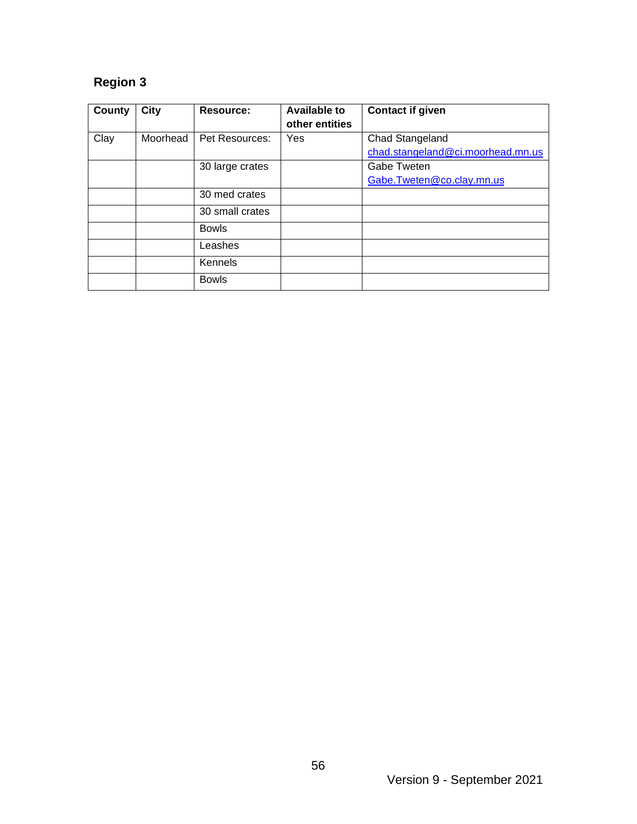| County | City     | Resource:       | <b>Available to</b><br>other entities | <b>Contact if given</b>           |
|--------|----------|-----------------|---------------------------------------|-----------------------------------|
| Clay   | Moorhead | Pet Resources:  | Yes                                   | Chad Stangeland                   |
|        |          |                 |                                       | chad.stangeland@ci.moorhead.mn.us |
|        |          | 30 large crates |                                       | Gabe Tweten                       |
|        |          |                 |                                       | Gabe.Tweten@co.clay.mn.us         |
|        |          | 30 med crates   |                                       |                                   |
|        |          | 30 small crates |                                       |                                   |
|        |          | <b>Bowls</b>    |                                       |                                   |
|        |          | Leashes         |                                       |                                   |
|        |          | Kennels         |                                       |                                   |
|        |          | <b>Bowls</b>    |                                       |                                   |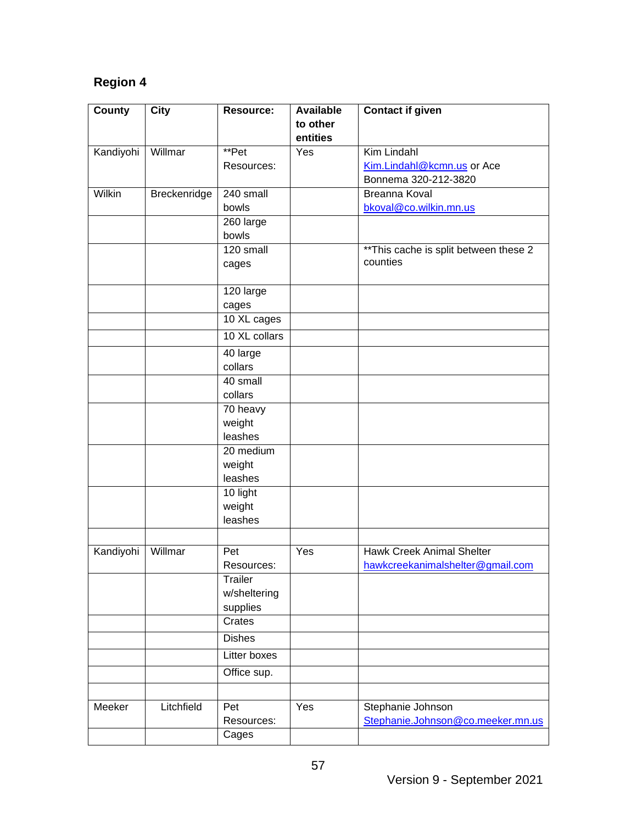| <b>County</b> | City         | Resource:             | <b>Available</b> | <b>Contact if given</b>                |
|---------------|--------------|-----------------------|------------------|----------------------------------------|
|               |              |                       | to other         |                                        |
|               |              |                       | entities         |                                        |
| Kandiyohi     | Willmar      | **Pet                 | Yes              | Kim Lindahl                            |
|               |              | Resources:            |                  | Kim.Lindahl@kcmn.us or Ace             |
|               |              |                       |                  | Bonnema 320-212-3820                   |
| <b>Wilkin</b> | Breckenridge | 240 small             |                  | <b>Breanna Koval</b>                   |
|               |              | bowls                 |                  | bkoval@co.wilkin.mn.us                 |
|               |              | 260 large             |                  |                                        |
|               |              | bowls                 |                  |                                        |
|               |              | 120 small             |                  | ** This cache is split between these 2 |
|               |              | cages                 |                  | counties                               |
|               |              |                       |                  |                                        |
|               |              | 120 large             |                  |                                        |
|               |              | cages                 |                  |                                        |
|               |              | 10 XL cages           |                  |                                        |
|               |              | 10 XL collars         |                  |                                        |
|               |              | $\overline{40}$ large |                  |                                        |
|               |              | collars               |                  |                                        |
|               |              | 40 small              |                  |                                        |
|               |              | collars               |                  |                                        |
|               |              | 70 heavy              |                  |                                        |
|               |              | weight                |                  |                                        |
|               |              | leashes               |                  |                                        |
|               |              | 20 medium             |                  |                                        |
|               |              | weight                |                  |                                        |
|               |              | leashes               |                  |                                        |
|               |              | 10 light              |                  |                                        |
|               |              | weight                |                  |                                        |
|               |              | leashes               |                  |                                        |
|               |              |                       |                  |                                        |
| Kandiyohi     | Willmar      | Pet                   | Yes              | <b>Hawk Creek Animal Shelter</b>       |
|               |              | Resources:            |                  | hawkcreekanimalshelter@gmail.com       |
|               |              | <b>Trailer</b>        |                  |                                        |
|               |              | w/sheltering          |                  |                                        |
|               |              | supplies              |                  |                                        |
|               |              | Crates                |                  |                                        |
|               |              | <b>Dishes</b>         |                  |                                        |
|               |              | Litter boxes          |                  |                                        |
|               |              | Office sup.           |                  |                                        |
|               |              |                       |                  |                                        |
| Meeker        | Litchfield   | Pet                   | Yes              | Stephanie Johnson                      |
|               |              | Resources:            |                  | Stephanie.Johnson@co.meeker.mn.us      |
|               |              | Cages                 |                  |                                        |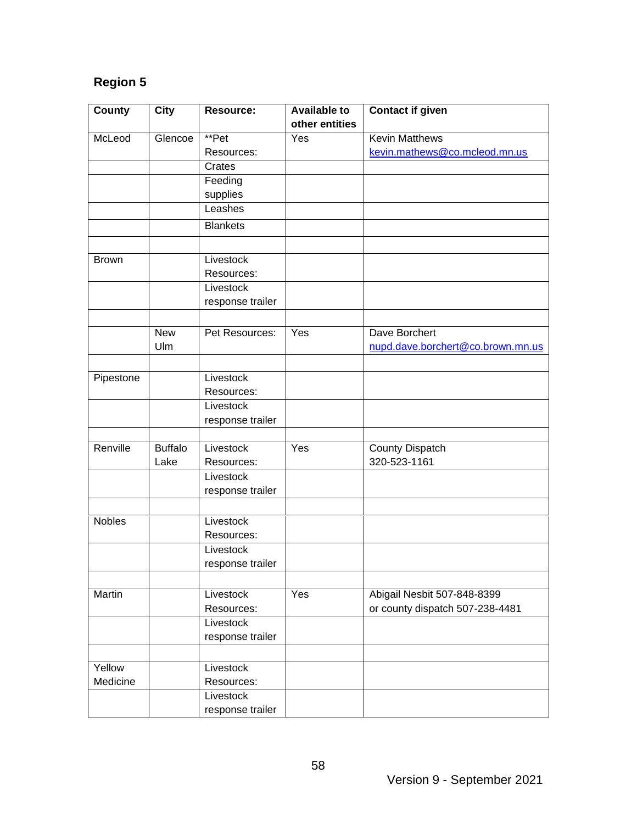| County        | <b>City</b>    | <b>Resource:</b> | <b>Available to</b> | <b>Contact if given</b>           |
|---------------|----------------|------------------|---------------------|-----------------------------------|
|               |                |                  | other entities      |                                   |
| McLeod        | Glencoe        | **Pet            | Yes                 | <b>Kevin Matthews</b>             |
|               |                | Resources:       |                     | kevin.mathews@co.mcleod.mn.us     |
|               |                | Crates           |                     |                                   |
|               |                | Feeding          |                     |                                   |
|               |                | supplies         |                     |                                   |
|               |                | Leashes          |                     |                                   |
|               |                | <b>Blankets</b>  |                     |                                   |
|               |                |                  |                     |                                   |
| <b>Brown</b>  |                | Livestock        |                     |                                   |
|               |                | Resources:       |                     |                                   |
|               |                | Livestock        |                     |                                   |
|               |                | response trailer |                     |                                   |
|               |                |                  |                     |                                   |
|               | <b>New</b>     | Pet Resources:   | Yes                 | Dave Borchert                     |
|               | Ulm            |                  |                     | nupd.dave.borchert@co.brown.mn.us |
|               |                |                  |                     |                                   |
| Pipestone     |                | Livestock        |                     |                                   |
|               |                | Resources:       |                     |                                   |
|               |                | Livestock        |                     |                                   |
|               |                | response trailer |                     |                                   |
|               |                |                  |                     |                                   |
| Renville      | <b>Buffalo</b> | Livestock        | Yes                 | County Dispatch                   |
|               | Lake           | Resources:       |                     | 320-523-1161                      |
|               |                | Livestock        |                     |                                   |
|               |                | response trailer |                     |                                   |
|               |                |                  |                     |                                   |
| <b>Nobles</b> |                | Livestock        |                     |                                   |
|               |                | Resources:       |                     |                                   |
|               |                | Livestock        |                     |                                   |
|               |                | response trailer |                     |                                   |
|               |                |                  |                     |                                   |
| Martin        |                | Livestock        | Yes                 | Abigail Nesbit 507-848-8399       |
|               |                | Resources:       |                     | or county dispatch 507-238-4481   |
|               |                | Livestock        |                     |                                   |
|               |                | response trailer |                     |                                   |
|               |                |                  |                     |                                   |
| Yellow        |                | Livestock        |                     |                                   |
| Medicine      |                | Resources:       |                     |                                   |
|               |                | Livestock        |                     |                                   |
|               |                | response trailer |                     |                                   |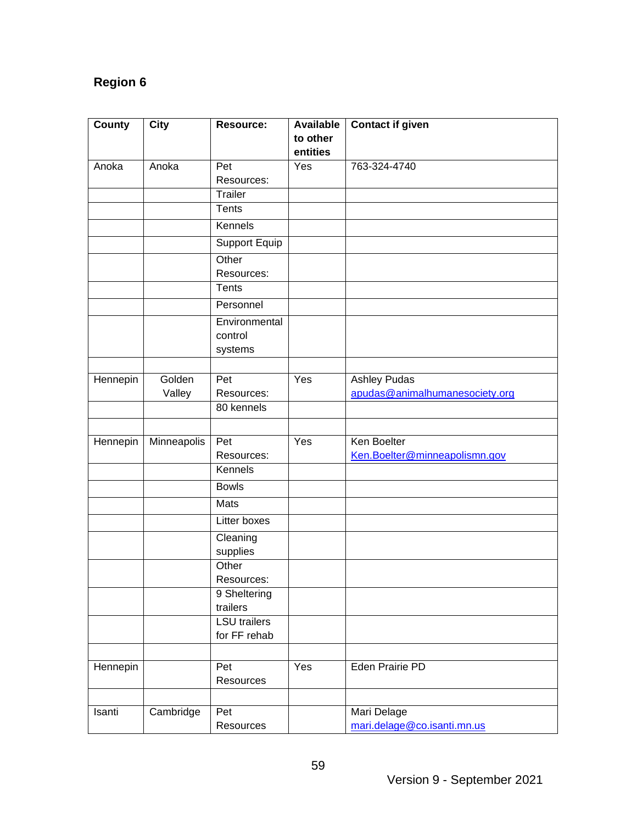| County   | <b>City</b> | Resource:                       | <b>Available</b> | <b>Contact if given</b>        |
|----------|-------------|---------------------------------|------------------|--------------------------------|
|          |             |                                 | to other         |                                |
|          |             |                                 | entities         |                                |
| Anoka    | Anoka       | Pet                             | Yes              | 763-324-4740                   |
|          |             | Resources:                      |                  |                                |
|          |             | Trailer                         |                  |                                |
|          |             | Tents                           |                  |                                |
|          |             | Kennels                         |                  |                                |
|          |             | <b>Support Equip</b>            |                  |                                |
|          |             | Other                           |                  |                                |
|          |             | Resources:                      |                  |                                |
|          |             | <b>Tents</b>                    |                  |                                |
|          |             | Personnel                       |                  |                                |
|          |             | Environmental                   |                  |                                |
|          |             | control                         |                  |                                |
|          |             | systems                         |                  |                                |
|          |             |                                 |                  |                                |
| Hennepin | Golden      | Pet                             | Yes              | <b>Ashley Pudas</b>            |
|          | Valley      | Resources:<br>80 kennels        |                  | apudas@animalhumanesociety.org |
|          |             |                                 |                  |                                |
| Hennepin | Minneapolis | Pet                             | Yes              | Ken Boelter                    |
|          |             | Resources:                      |                  | Ken. Boelter@minneapolismn.gov |
|          |             | Kennels                         |                  |                                |
|          |             | <b>Bowls</b>                    |                  |                                |
|          |             | Mats                            |                  |                                |
|          |             | Litter boxes                    |                  |                                |
|          |             | Cleaning                        |                  |                                |
|          |             | supplies                        |                  |                                |
|          |             | Other                           |                  |                                |
|          |             | Resources:                      |                  |                                |
|          |             | 9 Sheltering                    |                  |                                |
|          |             | trailers<br><b>LSU</b> trailers |                  |                                |
|          |             | for FF rehab                    |                  |                                |
|          |             |                                 |                  |                                |
| Hennepin |             | Pet                             | Yes              | Eden Prairie PD                |
|          |             | Resources                       |                  |                                |
|          |             |                                 |                  |                                |
| Isanti   | Cambridge   | Pet                             |                  | Mari Delage                    |
|          |             | Resources                       |                  | mari.delage@co.isanti.mn.us    |